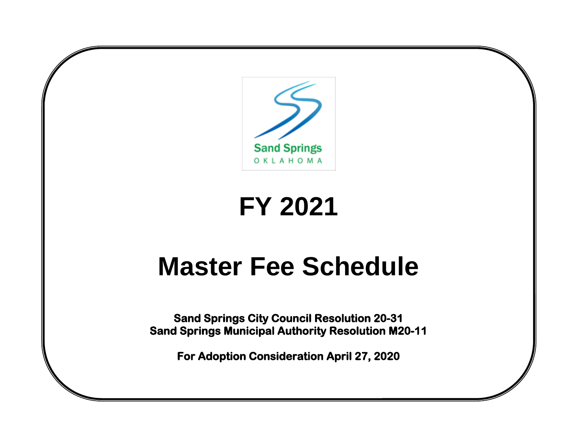

# **FY 2021**

## **Master Fee Schedule**

**Sand Springs City Council Resolution 20-31 Sand Springs Municipal Authority Resolution M20-11** 

**For Adoption Consideration April 27, 2020**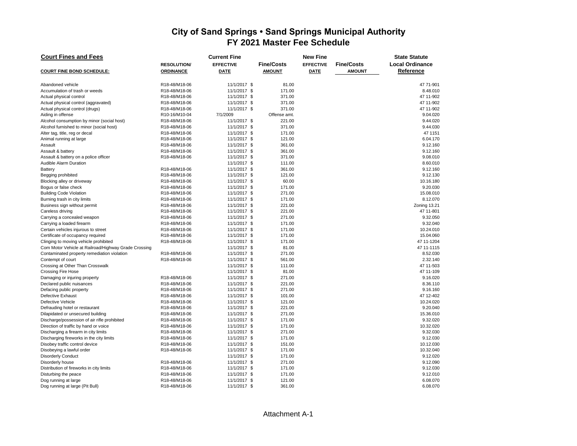| <b>Court Fines and Fees</b>                          |                   | <b>Current Fine</b> |                   | <b>New Fine</b>  | <b>State Statute</b> |                        |  |
|------------------------------------------------------|-------------------|---------------------|-------------------|------------------|----------------------|------------------------|--|
|                                                      | <b>RESOLUTION</b> | <b>EFFECTIVE</b>    | <b>Fine/Costs</b> | <b>EFFECTIVE</b> | <b>Fine/Costs</b>    | <b>Local Ordinance</b> |  |
| <b>COURT FINE BOND SCHEDULE:</b>                     | <b>ORDINANCE</b>  | <b>DATE</b>         | <b>AMOUNT</b>     | <b>DATE</b>      | <b>AMOUNT</b>        | Reference              |  |
|                                                      |                   |                     |                   |                  |                      |                        |  |
| Abandoned vehicle                                    | R18-48/M18-06     | 11/1/2017 \$        | 81.00             |                  |                      | 47 71-901              |  |
| Accumulation of trash or weeds                       | R18-48/M18-06     | 11/1/2017 \$        | 171.00            |                  |                      | 8.48.010               |  |
| Actual physical control                              | R18-48/M18-06     | 11/1/2017 \$        | 371.00            |                  |                      | 47 11-902              |  |
| Actual physical control (aggravated)                 | R18-48/M18-06     | 11/1/2017 \$        | 371.00            |                  |                      | 47 11-902              |  |
| Actual physical control (drugs)                      | R18-48/M18-06     | 11/1/2017 \$        | 371.00            |                  |                      | 47 11-902              |  |
| Aiding in offense                                    | R10-16/M10-04     | 7/1/2009            | Offense amt.      |                  |                      | 9.04.020               |  |
| Alcohol consumption by minor (social host)           | R18-48/M18-06     | 11/1/2017 \$        | 221.00            |                  |                      | 9.44.020               |  |
| Alcohol furnished to minor (social host)             | R18-48/M18-06     | 11/1/2017 \$        | 371.00            |                  |                      | 9.44.030               |  |
| Alter tag, title, reg or decal                       | R18-48/M18-06     | 11/1/2017 \$        | 171.00            |                  |                      | 47 1151                |  |
| Animal running at large                              | R18-48/M18-06     | 11/1/2017 \$        | 121.00            |                  |                      | 6.04.170               |  |
| Assault                                              | R18-48/M18-06     | 11/1/2017 \$        | 361.00            |                  |                      | 9.12.160               |  |
| Assault & battery                                    | R18-48/M18-06     | 11/1/2017 \$        | 361.00            |                  |                      | 9.12.160               |  |
| Assault & battery on a police officer                | R18-48/M18-06     | 11/1/2017 \$        | 371.00            |                  |                      | 9.08.010               |  |
| Audible Alarm Duration                               |                   | 11/1/2017 \$        | 111.00            |                  |                      | 8.60.010               |  |
| Battery                                              | R18-48/M18-06     | 11/1/2017 \$        | 361.00            |                  |                      | 9.12.160               |  |
| Begging prohibited                                   | R18-48/M18-06     | 11/1/2017 \$        | 121.00            |                  |                      | 9.12.130               |  |
| Blocking alley or driveway                           | R18-48/M18-06     | 11/1/2017 \$        | 60.00             |                  |                      | 10.16.180              |  |
| Bogus or false check                                 | R18-48/M18-06     | 11/1/2017 \$        | 171.00            |                  |                      | 9.20.030               |  |
| <b>Building Code Violation</b>                       | R18-48/M18-06     | 11/1/2017 \$        | 271.00            |                  |                      | 15.08.010              |  |
| Burning trash in city limits                         | R18-48/M18-06     | 11/1/2017 \$        | 171.00            |                  |                      | 8.12.070               |  |
| Business sign without permit                         | R18-48/M18-06     | 11/1/2017 \$        | 221.00            |                  |                      | Zoning 13.21           |  |
| Careless driving                                     | R18-48/M18-06     | 11/1/2017 \$        | 221.00            |                  |                      | 47 11-801              |  |
| Carrying a concealed weapon                          | R18-48/M18-06     | 11/1/2017 \$        | 271.00            |                  |                      | 9.32.050               |  |
| Carrying a loaded firearm                            | R18-48/M18-06     | 11/1/2017 \$        | 171.00            |                  |                      | 9.32.040               |  |
| Certain vehicles injurous to street                  | R18-48/M18-06     | 11/1/2017 \$        | 171.00            |                  |                      | 10.24.010              |  |
| Certificate of occupancy required                    | R18-48/M18-06     | 11/1/2017 \$        | 171.00            |                  |                      | 15.04.060              |  |
| Clinging to moving vehicle prohibited                | R18-48/M18-06     | 11/1/2017 \$        | 171.00            |                  |                      | 47 11-1204             |  |
| Com Motor Vehicle at Railroad/Highway Grade Crossing |                   | 11/1/2017 \$        | 81.00             |                  |                      | 47 11-1115             |  |
| Contaminated property remediation violation          | R18-48/M18-06     | 11/1/2017 \$        | 271.00            |                  |                      | 8.52.030               |  |
| Contempt of court                                    | R18-48/M18-06     | 11/1/2017 \$        | 561.00            |                  |                      | 2.32.140               |  |
| Crossing at Other Than Crosswalk                     |                   | 11/1/2017 \$        | 111.00            |                  |                      | 47 11-503              |  |
| <b>Crossing Fire Hose</b>                            |                   | 11/1/2017 \$        | 81.00             |                  |                      | 47 11-109              |  |
| Damaging or injuring property                        | R18-48/M18-06     | 11/1/2017 \$        | 271.00            |                  |                      | 9.16.020               |  |
| Declared public nuisances                            | R18-48/M18-06     | 11/1/2017 \$        | 221.00            |                  |                      | 8.36.110               |  |
| Defacing public property                             | R18-48/M18-06     | 11/1/2017 \$        | 271.00            |                  |                      | 9.16.160               |  |
| Defective Exhaust                                    | R18-48/M18-06     | 11/1/2017 \$        | 101.00            |                  |                      | 47 12-402              |  |
| Defective Vehicle                                    | R18-48/M18-06     | 11/1/2017 \$        | 121.00            |                  |                      | 10.24.020              |  |
| Defrauding hotel or restaurant                       | R18-48/M18-06     | 11/1/2017 \$        | 221.00            |                  |                      | 9.20.040               |  |
| Dilapidated or unsecured building                    | R18-48/M18-06     | 11/1/2017 \$        | 271.00            |                  |                      | 15.36.010              |  |
| Discharge/possession of air rifle prohibited         | R18-48/M18-06     | 11/1/2017 \$        | 171.00            |                  |                      | 9.32.020               |  |
| Direction of traffic by hand or voice                | R18-48/M18-06     | 11/1/2017 \$        | 171.00            |                  |                      | 10.32.020              |  |
| Discharging a firearm in city limits                 | R18-48/M18-06     | 11/1/2017 \$        | 271.00            |                  |                      | 9.32.030               |  |
| Discharging fireworks in the city limits             | R18-48/M18-06     | 11/1/2017 \$        | 171.00            |                  |                      | 9.12.030               |  |
| Disobey traffic control device                       | R18-48/M18-06     | 11/1/2017 \$        | 151.00            |                  |                      | 10.12.030              |  |
| Disobeying a lawful order                            | R18-48/M18-06     | 11/1/2017 \$        | 171.00            |                  |                      | 10.32.040              |  |
| <b>Disorderly Conduct</b>                            |                   | 11/1/2017 \$        | 171.00            |                  |                      | 9.12.020               |  |
| Disorderly house                                     | R18-48/M18-06     | 11/1/2017 \$        | 271.00            |                  |                      | 9.12.090               |  |
| Distribution of fireworks in city limits             | R18-48/M18-06     | 11/1/2017 \$        | 171.00            |                  |                      | 9.12.030               |  |
| Disturbing the peace                                 | R18-48/M18-06     | 11/1/2017 \$        | 171.00            |                  |                      | 9.12.010               |  |
| Dog running at large                                 | R18-48/M18-06     | 11/1/2017 \$        | 121.00            |                  |                      | 6.08.070               |  |
| Dog running at large (Pit Bull)                      | R18-48/M18-06     | 11/1/2017 \$        | 361.00            |                  |                      | 6.08.070               |  |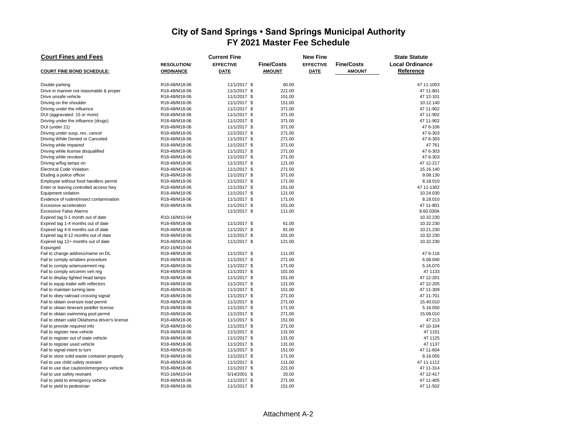| <b>Court Fines and Fees</b>                    |                   | <b>Current Fine</b> |                   | <b>New Fine</b>  | <b>State Statute</b> |                        |  |  |
|------------------------------------------------|-------------------|---------------------|-------------------|------------------|----------------------|------------------------|--|--|
|                                                | <b>RESOLUTION</b> | <b>EFFECTIVE</b>    | <b>Fine/Costs</b> | <b>EFFECTIVE</b> | <b>Fine/Costs</b>    | <b>Local Ordinance</b> |  |  |
| <b>COURT FINE BOND SCHEDULE:</b>               | <b>ORDINANCE</b>  | DATE                | <b>AMOUNT</b>     | <b>DATE</b>      | <b>AMOUNT</b>        | Reference              |  |  |
|                                                |                   |                     |                   |                  |                      |                        |  |  |
| Double parking                                 | R18-48/M18-06     | 11/1/2017 \$        | 60.00             |                  |                      | 47 11-1003             |  |  |
| Drive in manner not reasonable & proper        | R18-48/M18-06     | 11/1/2017 \$        | 221.00            |                  |                      | 47 11-801              |  |  |
| Drive unsafe vehicle                           | R18-48/M18-06     | 11/1/2017 \$        | 151.00            |                  |                      | 47 12-101              |  |  |
| Driving on the shoulder                        | R18-48/M18-06     | 11/1/2017 \$        | 151.00            |                  |                      | 10.12.140              |  |  |
| Driving under the influence                    | R18-48/M18-06     | 11/1/2017 \$        | 371.00            |                  |                      | 47 11-902              |  |  |
| DUI (aggravated .15 or more)                   | R18-48/M18-06     | 11/1/2017 \$        | 371.00            |                  |                      | 47 11-902              |  |  |
| Driving under the influence (drugs)            | R18-48/M18-06     | 11/1/2017 \$        | 371.00            |                  |                      | 47 11-902              |  |  |
| DUI (under 21)                                 | R18-48/M18-06     | 11/1/2017 \$        | 371.00            |                  |                      | 47 6-106               |  |  |
| Driving under susp, rev, cancel                | R18-48/M18-06     | 11/1/2017 \$        | 271.00            |                  |                      | 47 6-303               |  |  |
| Driving While Denied or Canceled               | R18-48/M18-06     | 11/1/2017 \$        | 271.00            |                  |                      | 47 6-303               |  |  |
| Driving while impaired                         | R18-48/M18-06     | 11/1/2017 \$        | 371.00            |                  |                      | 47 761                 |  |  |
| Driving while license disqualified             | R18-48/M18-06     | 11/1/2017 \$        | 271.00            |                  |                      | 47 6-303               |  |  |
| Driving while revoked                          | R18-48/M18-06     | 11/1/2017 \$        | 271.00            |                  |                      | 47 6-303               |  |  |
| Driving w/fog lamps on                         | R18-48/M18-06     | 11/1/2017 \$        | 121.00            |                  |                      | 47 12-217              |  |  |
| <b>Electrical Code Violation</b>               | R18-48/M18-06     | 11/1/2017 \$        | 271.00            |                  |                      | 15.16.140              |  |  |
| Eluding a police officer                       | R18-48/M18-06     | 11/1/2017 \$        | 371.00            |                  |                      | 9.08.130               |  |  |
| Employee without food handlers permit          | R18-48/M18-06     | 11/1/2017 \$        | 171.00            |                  |                      | 8.18.010               |  |  |
| Enter or leaving controlled access hwy         | R18-48/M18-06     | 11/1/2017 \$        | 151.00            |                  |                      | 47 11-1302             |  |  |
| Equipment violation                            | R18-48/M18-06     | 11/1/2017 \$        | 121.00            |                  |                      | 10.24.030              |  |  |
| Evidence of rodent/insect contamination        | R18-48/M18-06     | 11/1/2017 \$        | 171.00            |                  |                      | 8.18.010               |  |  |
| Excessive acceleration                         | R18-48/M18-06     | 11/1/2017 \$        | 151.00            |                  |                      | 47 11-801              |  |  |
| <b>Excessive False Alarms</b>                  |                   | 11/1/2017 \$        | 111.00            |                  |                      | 8.60.030A              |  |  |
| Expired tag 0-1 month out of date              | R10-16/M10-04     |                     |                   |                  |                      | 10.32.230              |  |  |
| Expired tag 1-4 months out of date             | R18-48/M18-06     | 11/1/2017 \$        | 61.00             |                  |                      | 10.32.230              |  |  |
| Expired tag 4-8 months out of date             | R18-48/M18-06     | 11/1/2017 \$        | 81.00             |                  |                      | 10.21.230              |  |  |
| Expired tag 8-12 months out of date            | R18-48/M18-06     | 11/1/2017 \$        | 101.00            |                  |                      | 10.32.230              |  |  |
| Expired tag 12+ months out of date             | R18-48/M18-06     | 11/1/2017 \$        | 121.00            |                  |                      | 10.32.230              |  |  |
| Expunged                                       | R10-16/M10-04     |                     |                   |                  |                      |                        |  |  |
| Fail to change address/name on DL              | R18-48/M18-06     | 11/1/2017 \$        | 111.00            |                  |                      | 476-116                |  |  |
| Fail to comply w/rabies procedure              | R18-48/M18-06     | 11/1/2017 \$        | 271.00            |                  |                      | 6.08.040               |  |  |
| Fail to comply w/amusement reg                 | R18-48/M18-06     | 11/1/2017 \$        | 171.00            |                  |                      | 5.16.070               |  |  |
| Fail to comply w/comm veh reg                  | R18-48/M18-06     | 11/1/2017 \$        | 101.00            |                  |                      | 47 1133                |  |  |
| Fail to display lighted head lamps             | R18-48/M18-06     | 11/1/2017 \$        | 151.00            |                  |                      | 47 12-201              |  |  |
| Fail to equip trailer with reflectors          | R18-48/M18-06     | 11/1/2017 \$        | 121.00            |                  |                      | 47 12-205              |  |  |
| Fail to maintain turning lane                  | R18-48/M18-06     | 11/1/2017 \$        | 151.00            |                  |                      | 47 11-309              |  |  |
| Fail to obey railroad crossing signal          | R18-48/M18-06     | 11/1/2017 \$        | 271.00            |                  |                      | 47 11-701              |  |  |
| Fail to obtain oversize load permit            | R18-48/M18-06     | 11/1/2017 \$        | 271.00            |                  |                      | 15.40.010              |  |  |
| Fail to obtain itinerant peddler license       | R18-48/M18-06     | 11/1/2017 \$        | 171.00            |                  |                      | 5.16.050               |  |  |
| Fail to obtain swimming pool permit            | R18-48/M18-06     | 11/1/2017 \$        | 271.00            |                  |                      | 15.08.010              |  |  |
| Fail to obtain valid Oklahoma driver's license | R18-48/M18-06     | 11/1/2017 \$        | 151.00            |                  |                      | 47 213                 |  |  |
| Fail to provide required info                  | R18-48/M18-06     | 11/1/2017 \$        | 271.00            |                  |                      | 47 10-104              |  |  |
| Fail to register new vehicle                   | R18-48/M18-06     | 11/1/2017 \$        | 131.00            |                  |                      | 47 1151                |  |  |
| Fail to register out of state vehicle          | R18-48/M18-06     | 11/1/2017 \$        | 131.00            |                  |                      | 47 1125                |  |  |
| Fail to register used vehicle                  | R18-48/M18-06     | 11/1/2017 \$        | 131.00            |                  |                      | 47 1137                |  |  |
| Fail to signal intent to turn                  | R18-48/M18-06     | 11/1/2017 \$        | 151.00            |                  |                      | 47 11-604              |  |  |
| Fail to store solid waste container properly   | R18-48/M18-06     | 11/1/2017 \$        | 171.00            |                  |                      | 8.16.055               |  |  |
| Fail to use child safety restraint             | R18-48/M18-06     | 11/1/2017 \$        | 111.00            |                  |                      | 47 11-1112             |  |  |
| Fail to use due caution/emergency vehicle      | R18-48/M18-06     | 11/1/2017 \$        | 221.00            |                  |                      | 47 11-314              |  |  |
| Fail to use safety restraint                   | R10-16/M10-04     | 5/14/2001<br>\$     | 20.00             |                  |                      | 47 12-417              |  |  |
| Fail to yield to emergency vehicle             | R18-48/M18-06     | 11/1/2017 \$        | 271.00            |                  |                      | 47 11-405              |  |  |
| Fail to yield to pedestrian                    | R18-48/M18-06     | 11/1/2017 \$        | 151.00            |                  |                      | 47 11-502              |  |  |
|                                                |                   |                     |                   |                  |                      |                        |  |  |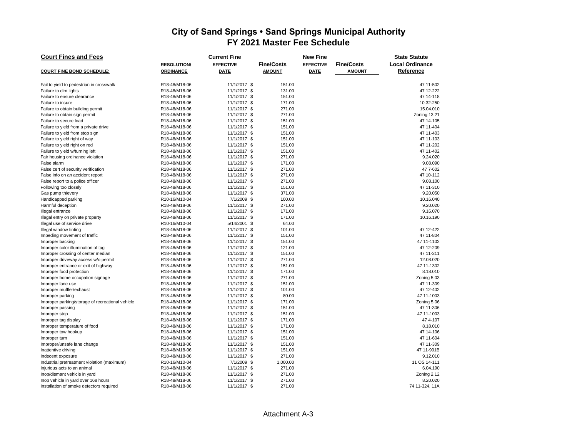| <b>Court Fines and Fees</b>                      |                    | <b>Current Fine</b> |                   | <b>New Fine</b>  | <b>State Statute</b>   |                |  |  |
|--------------------------------------------------|--------------------|---------------------|-------------------|------------------|------------------------|----------------|--|--|
|                                                  | <b>RESOLUTION/</b> | <b>EFFECTIVE</b>    | <b>Fine/Costs</b> | <b>EFFECTIVE</b> | <b>Local Ordinance</b> |                |  |  |
| <b>COURT FINE BOND SCHEDULE:</b>                 | <b>ORDINANCE</b>   | <b>DATE</b>         | <b>AMOUNT</b>     | <b>DATE</b>      | <b>AMOUNT</b>          | Reference      |  |  |
|                                                  |                    |                     |                   |                  |                        |                |  |  |
| Fail to yield to pedestrian in crosswalk         | R18-48/M18-06      | 11/1/2017 \$        | 151.00            |                  |                        | 47 11-502      |  |  |
| Failure to dim lights                            | R18-48/M18-06      | 11/1/2017 \$        | 131.00            |                  |                        | 47 12-222      |  |  |
| Failure to ensure clearance                      | R18-48/M18-06      | 11/1/2017 \$        | 151.00            |                  |                        | 47 14-118      |  |  |
| Failure to insure                                | R18-48/M18-06      | 11/1/2017 \$        | 171.00            |                  |                        | 10.32-250      |  |  |
| Failure to obtain building permit                | R18-48/M18-06      | 11/1/2017 \$        | 271.00            |                  |                        | 15.04.010      |  |  |
| Failure to obtain sign permit                    | R18-48/M18-06      | 11/1/2017 \$        | 271.00            |                  |                        | Zoning 13.21   |  |  |
| Failure to secure load                           | R18-48/M18-06      | 11/1/2017 \$        | 151.00            |                  |                        | 47 14-105      |  |  |
| Failure to yield from a private drive            | R18-48/M18-06      | 11/1/2017 \$        | 151.00            |                  |                        | 47 11-404      |  |  |
| Failure to yield from stop sign                  | R18-48/M18-06      | 11/1/2017 \$        | 151.00            |                  |                        | 47 11-403      |  |  |
| Failure to yield right of way                    | R18-48/M18-06      | 11/1/2017 \$        | 151.00            |                  |                        | 47 11-103      |  |  |
| Failure to yield right on red                    | R18-48/M18-06      | 11/1/2017 \$        | 151.00            |                  |                        | 47 11-202      |  |  |
| Failure to yield w/turning left                  | R18-48/M18-06      | 11/1/2017 \$        | 151.00            |                  |                        | 47 11-402      |  |  |
| Fair housing ordinance violation                 | R18-48/M18-06      | 11/1/2017 \$        | 271.00            |                  |                        | 9.24.020       |  |  |
| False alarm                                      | R18-48/M18-06      | 11/1/2017 \$        | 171.00            |                  |                        | 9.08.090       |  |  |
| False cert of security verification              | R18-48/M18-06      | 11/1/2017 \$        | 271.00            |                  |                        | 47 7-602       |  |  |
| False info on an accident report                 | R18-48/M18-06      | 11/1/2017 \$        | 271.00            |                  |                        | 47 10-112      |  |  |
| False report to a police officer                 | R18-48/M18-06      | 11/1/2017 \$        | 271.00            |                  |                        | 9.08.100       |  |  |
| Following too closely                            | R18-48/M18-06      | 11/1/2017 \$        | 151.00            |                  |                        | 47 11-310      |  |  |
| Gas pump thievery                                | R18-48/M18-06      | 11/1/2017 \$        | 371.00            |                  |                        | 9.20.050       |  |  |
| Handicapped parking                              | R10-16/M10-04      | 7/1/2009 \$         | 100.00            |                  |                        | 10.16.040      |  |  |
| Harmful deception                                | R18-48/M18-06      | 11/1/2017 \$        | 271.00            |                  |                        | 9.20.020       |  |  |
| Illegal entrance                                 | R18-48/M18-06      | 11/1/2017 \$        | 171.00            |                  |                        | 9.16.070       |  |  |
| Illegal entry on private property                | R18-48/M18-06      | 11/1/2017 \$        | 171.00            |                  |                        | 10.16.190      |  |  |
| Illegal use of service drive                     | R10-16/M10-04      | 5/14/2001 \$        | 64.00             |                  |                        |                |  |  |
| Illegal window tinting                           | R18-48/M18-06      | 11/1/2017 \$        | 101.00            |                  |                        | 47 12-422      |  |  |
| Impeding movement of traffic                     | R18-48/M18-06      | 11/1/2017 \$        | 151.00            |                  |                        | 47 11-804      |  |  |
| Improper backing                                 | R18-48/M18-06      | 11/1/2017 \$        | 151.00            |                  |                        | 47 11-1102     |  |  |
| Improper color illumination of tag               | R18-48/M18-06      | 11/1/2017 \$        | 121.00            |                  |                        | 47 12-209      |  |  |
| Improper crossing of center median               | R18-48/M18-06      | 11/1/2017 \$        | 151.00            |                  |                        | 47 11-311      |  |  |
| Improper driveway access w/o permit              | R18-48/M18-06      | 11/1/2017 \$        | 271.00            |                  |                        | 12.08.020      |  |  |
| Improper entrance or exit of highway             | R18-48/M18-06      | 11/1/2017 \$        | 151.00            |                  |                        | 47 11-1302     |  |  |
| Improper food protection                         | R18-48/M18-06      | 11/1/2017 \$        | 171.00            |                  |                        | 8.18.010       |  |  |
| Improper home occupation signage                 | R18-48/M18-06      | 11/1/2017 \$        | 271.00            |                  |                        | Zoning 5.03    |  |  |
| Improper lane use                                | R18-48/M18-06      | 11/1/2017 \$        | 151.00            |                  |                        | 47 11-309      |  |  |
| Improper muffler/exhaust                         | R18-48/M18-06      | 11/1/2017 \$        | 101.00            |                  |                        | 47 12-402      |  |  |
| Improper parking                                 | R18-48/M18-06      | 11/1/2017 \$        | 80.00             |                  |                        | 47 11-1003     |  |  |
| Improper parking/storage of recreational vehicle | R18-48/M18-06      | 11/1/2017 \$        | 171.00            |                  |                        | Zoning 5.06    |  |  |
| Improper passing                                 | R18-48/M18-06      | 11/1/2017 \$        | 151.00            |                  |                        | 47 11-306      |  |  |
| Improper stop                                    | R18-48/M18-06      | 11/1/2017 \$        | 151.00            |                  |                        | 47 11-1003     |  |  |
| Improper tag display                             | R18-48/M18-06      | 11/1/2017 \$        | 171.00            |                  |                        | 474--107       |  |  |
| Improper temperature of food                     | R18-48/M18-06      | 11/1/2017 \$        | 171.00            |                  |                        | 8.18.010       |  |  |
| Improper tow hookup                              | R18-48/M18-06      | 11/1/2017 \$        | 151.00            |                  |                        | 47 14-106      |  |  |
| Improper turn                                    | R18-48/M18-06      | 11/1/2017 \$        | 151.00            |                  |                        | 47 11-604      |  |  |
| Improper/unsafe lane change                      | R18-48/M18-06      | 11/1/2017 \$        | 151.00            |                  |                        | 47 11-309      |  |  |
| Inattentive driving                              | R18-48/M18-06      | 11/1/2017 \$        | 151.00            |                  |                        | 47 11-901B     |  |  |
| Indecent exposure                                | R18-48/M18-06      | 11/1/2017 \$        | 271.00            |                  |                        | 9.12.010       |  |  |
| Industrial pretreatment violation (maximum)      | R10-16/M10-04      | 7/1/2009<br>-\$     | 1,000.00          |                  |                        | 11 OS 14-111   |  |  |
| Injurious acts to an animal                      | R18-48/M18-06      | 11/1/2017 \$        | 271.00            |                  |                        | 6.04.190       |  |  |
| Inop/dismant vehicle in yard                     | R18-48/M18-06      | 11/1/2017 \$        | 271.00            |                  |                        | Zoning 2.12    |  |  |
| Inop vehicle in yard over 168 hours              | R18-48/M18-06      | 11/1/2017 \$        | 271.00            |                  |                        | 8.20.020       |  |  |
| Installation of smoke detectors required         | R18-48/M18-06      | 11/1/2017 \$        | 271.00            |                  |                        | 74 11-324, 11A |  |  |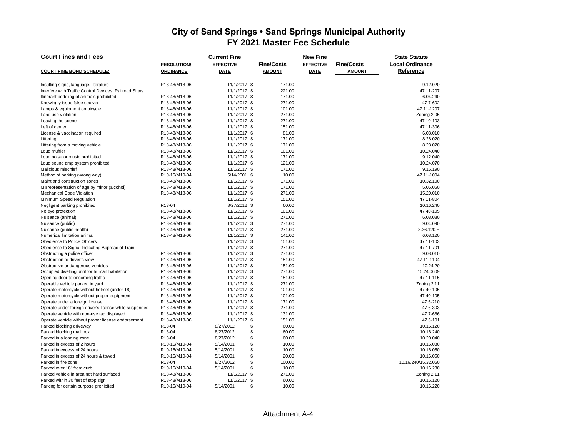| <b>Court Fines and Fees</b>                            |                     | <b>Current Fine</b> |                   | <b>New Fine</b>  | <b>State Statute</b> |                        |  |  |  |  |
|--------------------------------------------------------|---------------------|---------------------|-------------------|------------------|----------------------|------------------------|--|--|--|--|
|                                                        | <b>RESOLUTION</b>   | <b>EFFECTIVE</b>    | <b>Fine/Costs</b> | <b>EFFECTIVE</b> | <b>Fine/Costs</b>    | <b>Local Ordinance</b> |  |  |  |  |
| <b>COURT FINE BOND SCHEDULE:</b>                       | <b>ORDINANCE</b>    | <b>DATE</b>         | <b>AMOUNT</b>     | <b>DATE</b>      | <b>AMOUNT</b>        | Reference              |  |  |  |  |
|                                                        |                     |                     |                   |                  |                      |                        |  |  |  |  |
| Insulting signs, language, literature                  | R18-48/M18-06       | 11/1/2017 \$        | 171.00            |                  |                      | 9.12.020               |  |  |  |  |
| Interfere with Traffic Control Devices, Railroad Signs |                     | 11/1/2017 \$        | 221.00            |                  |                      | 47 11-207              |  |  |  |  |
| Itinerant peddling of animals prohibited               | R18-48/M18-06       | 11/1/2017 \$        | 171.00            |                  |                      | 6.04.240               |  |  |  |  |
| Knowingly issue false sec ver                          | R18-48/M18-06       | 11/1/2017 \$        | 271.00            |                  |                      | 47 7-602               |  |  |  |  |
| Lamps & equipment on bicycle                           | R18-48/M18-06       | 11/1/2017 \$        | 101.00            |                  |                      | 47 11-1207             |  |  |  |  |
| Land use violation                                     | R18-48/M18-06       | 11/1/2017 \$        | 271.00            |                  |                      | Zoning.2.05            |  |  |  |  |
| Leaving the scene                                      | R18-48/M18-06       | 11/1/2017 \$        | 271.00            |                  |                      | 47 10-103              |  |  |  |  |
| Left of center                                         | R18-48/M18-06       | 11/1/2017 \$        | 151.00            |                  |                      | 47 11-306              |  |  |  |  |
| License & vaccination required                         | R18-48/M18-06       | 11/1/2017 \$        | 81.00             |                  |                      | 6.08.010               |  |  |  |  |
| Littering                                              | R18-48/M18-06       | 11/1/2017 \$        | 171.00            |                  |                      | 8.28.020               |  |  |  |  |
| Littering from a moving vehicle                        | R18-48/M18-06       | 11/1/2017 \$        | 171.00            |                  |                      | 8.28.020               |  |  |  |  |
| Loud muffler                                           | R18-48/M18-06       | 11/1/2017 \$        | 101.00            |                  |                      | 10.24.040              |  |  |  |  |
| Loud noise or music prohibited                         | R18-48/M18-06       | 11/1/2017 \$        | 171.00            |                  |                      | 9.12.040               |  |  |  |  |
| Loud sound amp system prohibited                       | R18-48/M18-06       | 11/1/2017 \$        | 121.00            |                  |                      | 10.24.070              |  |  |  |  |
| Malicious mischief                                     | R18-48/M18-06       | 11/1/2017 \$        | 171.00            |                  |                      | 9.16.190               |  |  |  |  |
| Method of parking (wrong way)                          | R10-16/M10-04       | 5/14/2001 \$        | 10.00             |                  |                      | 47 11-1004             |  |  |  |  |
| Maint and construction zones                           | R18-48/M18-06       | 11/1/2017 \$        | 171.00            |                  |                      | 10.32.100              |  |  |  |  |
| Misrepresentation of age by minor (alcohol)            | R18-48/M18-06       | 11/1/2017 \$        | 171.00            |                  |                      | 5.06.050               |  |  |  |  |
| Mechanical Code Violation                              | R18-48/M18-06       | 11/1/2017 \$        | 271.00            |                  |                      | 15.20.010              |  |  |  |  |
| Minimum Speed Regulation                               |                     | 11/1/2017 \$        | 151.00            |                  |                      | 47 11-804              |  |  |  |  |
| Negligent parking prohibited                           | R <sub>13</sub> -04 | 8/27/2012 \$        | 60.00             |                  |                      | 10.16.240              |  |  |  |  |
| No eye protection                                      | R18-48/M18-06       | 11/1/2017 \$        | 101.00            |                  |                      | 47 40-105              |  |  |  |  |
| Nuisance (animal)                                      | R18-48/M18-06       | 11/1/2017 \$        | 271.00            |                  |                      | 6.08.080               |  |  |  |  |
| Nuisance (public)                                      | R18-48/M18-06       | 11/1/2017 \$        | 271.00            |                  |                      | 9.04.090               |  |  |  |  |
| Nuisance (public health)                               | R18-48/M18-06       | 11/1/2017 \$        | 271.00            |                  |                      | 8.36.120.E             |  |  |  |  |
| Numerical limitation animal                            | R18-48/M18-06       | 11/1/2017 \$        | 141.00            |                  |                      | 6.08.120               |  |  |  |  |
| Obedience to Police Officers                           |                     | 11/1/2017 \$        | 151.00            |                  |                      | 47 11-103              |  |  |  |  |
| Obedience to Signal Indicating Approac of Train        |                     | 11/1/2017 \$        | 271.00            |                  |                      | 47 11-701              |  |  |  |  |
| Obstructing a police officer                           | R18-48/M18-06       | 11/1/2017 \$        | 271.00            |                  |                      | 9.08.010               |  |  |  |  |
| Obstruction to driver's view                           | R18-48/M18-06       | 11/1/2017 \$        | 151.00            |                  |                      | 47 11-1104             |  |  |  |  |
| Obstructive or dangerous vehicles                      | R18-48/M18-06       | 11/1/2017 \$        | 151.00            |                  |                      | 10.24.20               |  |  |  |  |
| Occupied dwelling unfit for human habitation           | R18-48/M18-06       | 11/1/2017 \$        | 271.00            |                  |                      | 15.24.0609             |  |  |  |  |
| Opening door to oncoming traffic                       | R18-48/M18-06       | 11/1/2017 \$        | 151.00            |                  |                      | 47 11-115              |  |  |  |  |
| Operable vehicle parked in yard                        | R18-48/M18-06       | 11/1/2017 \$        | 271.00            |                  |                      | Zoning 2.11            |  |  |  |  |
| Operate motorcycle without helmet (under 18)           | R18-48/M18-06       | 11/1/2017 \$        | 101.00            |                  |                      | 47 40-105              |  |  |  |  |
| Operate motorcycle without proper equipment            | R18-48/M18-06       | 11/1/2017 \$        | 101.00            |                  |                      | 47 40-105              |  |  |  |  |
| Operate under a foreign license                        | R18-48/M18-06       | 11/1/2017 \$        | 171.00            |                  |                      | 476-210                |  |  |  |  |
| Operate under foreign driver's license while suspended | R18-48/M18-06       | 11/1/2017 \$        | 271.00            |                  |                      | 47 6-303               |  |  |  |  |
| Operate vehicle with non-use tag displayed             | R18-48/M18-06       | 11/1/2017 \$        | 131.00            |                  |                      | 477-686                |  |  |  |  |
| Operate vehicle without proper license endorsement     | R18-48/M18-06       | 11/1/2017 \$        | 151.00            |                  |                      | 476--101               |  |  |  |  |
| Parked blocking driveway                               | R <sub>13</sub> -04 | 8/27/2012<br>\$     | 60.00             |                  |                      | 10.16.120              |  |  |  |  |
| Parked blocking mail box                               | R13-04              | \$<br>8/27/2012     | 60.00             |                  |                      | 10.16.240              |  |  |  |  |
| Parked in a loading zone                               | R13-04              | \$<br>8/27/2012     | 60.00             |                  |                      | 10.20.040              |  |  |  |  |
| Parked in excess of 2 hours                            | R10-16/M10-04       | \$<br>5/14/2001     | 10.00             |                  |                      | 10.16.030              |  |  |  |  |
| Parked in excess of 24 hours                           | R10-16/M10-04       | \$<br>5/14/2001     | 10.00             |                  |                      | 10.16.050              |  |  |  |  |
| Parked in excess of 24 hours & towed                   | R10-16/M10-04       | \$<br>5/14/2001     | 20.00             |                  |                      | 10.16.050              |  |  |  |  |
| Parked in fire zone                                    | R <sub>13</sub> -04 | \$<br>8/27/2012     | 100.00            |                  |                      | 10.16.240/15.32.060    |  |  |  |  |
| Parked over 18" from curb                              | R10-16/M10-04       | \$<br>5/14/2001     | 10.00             |                  |                      | 10.16.230              |  |  |  |  |
| Parked vehicle in area not hard surfaced               | R18-48/M18-06       | 11/1/2017 \$        | 271.00            |                  |                      | Zoning 2.11            |  |  |  |  |
| Parked within 30 feet of stop sign                     | R18-48/M18-06       | 11/1/2017 \$        | 60.00             |                  |                      | 10.16.120              |  |  |  |  |
| Parking for certain purpose prohibited                 | R10-16/M10-04       | 5/14/2001<br>\$     | 10.00             |                  |                      | 10.16.220              |  |  |  |  |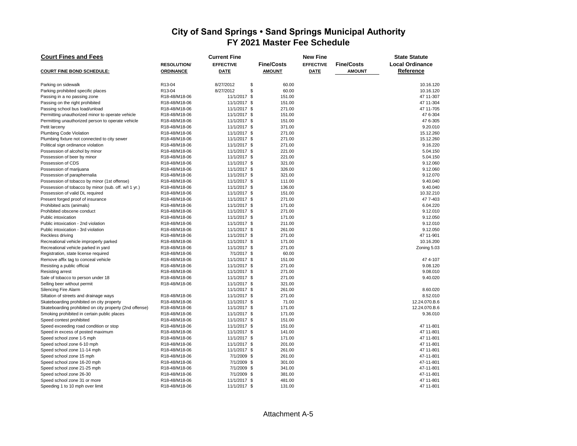| <b>Court Fines and Fees</b>                             |                    | <b>Current Fine</b> |                   | <b>New Fine</b>  |                   | <b>State Statute</b>   |  |  |  |
|---------------------------------------------------------|--------------------|---------------------|-------------------|------------------|-------------------|------------------------|--|--|--|
|                                                         | <b>RESOLUTION/</b> | <b>EFFECTIVE</b>    | <b>Fine/Costs</b> | <b>EFFECTIVE</b> | <b>Fine/Costs</b> | <b>Local Ordinance</b> |  |  |  |
| <b>COURT FINE BOND SCHEDULE:</b>                        | <b>ORDINANCE</b>   | <b>DATE</b>         | <b>AMOUNT</b>     | <b>DATE</b>      | <b>AMOUNT</b>     | Reference              |  |  |  |
|                                                         |                    |                     |                   |                  |                   |                        |  |  |  |
| Parking on sidewalk                                     | R13-04             | \$<br>8/27/2012     | 60.00             |                  |                   | 10.16.120              |  |  |  |
| Parking prohibited specific places                      | R13-04             | \$<br>8/27/2012     | 60.00             |                  |                   | 10.16.120              |  |  |  |
| Passing in a no passing zone                            | R18-48/M18-06      | 11/1/2017 \$        | 151.00            |                  |                   | 47 11-307              |  |  |  |
| Passing on the right prohibited                         | R18-48/M18-06      | 11/1/2017 \$        | 151.00            |                  |                   | 47 11-304              |  |  |  |
| Passing school bus load/unload                          | R18-48/M18-06      | 11/1/2017 \$        | 271.00            |                  |                   | 47 11-705              |  |  |  |
| Permitting unauthorized minor to operate vehicle        | R18-48/M18-06      | 11/1/2017 \$        | 151.00            |                  |                   | 47 6-304               |  |  |  |
| Permitting unauthorized person to operate vehicle       | R18-48/M18-06      | 11/1/2017 \$        | 151.00            |                  |                   | 47 6-305               |  |  |  |
| Petit larceny                                           | R18-48/M18-06      | 11/1/2017 \$        | 371.00            |                  |                   | 9.20.010               |  |  |  |
| Plumbing Code Violation                                 | R18-48/M18-06      | 11/1/2017 \$        | 271.00            |                  |                   | 15.12.260              |  |  |  |
| Plumbing fixture not connected to city sewer            | R18-48/M18-06      | 11/1/2017 \$        | 271.00            |                  |                   | 15.12.260              |  |  |  |
| Political sign ordinance violation                      | R18-48/M18-06      | 11/1/2017 \$        | 271.00            |                  |                   | 9.16.220               |  |  |  |
| Possession of alcohol by minor                          | R18-48/M18-06      | 11/1/2017 \$        | 221.00            |                  |                   | 5.04.150               |  |  |  |
| Possession of beer by minor                             | R18-48/M18-06      | 11/1/2017 \$        | 221.00            |                  |                   | 5.04.150               |  |  |  |
| Possession of CDS                                       | R18-48/M18-06      | 11/1/2017 \$        | 321.00            |                  |                   | 9.12.060               |  |  |  |
| Possession of marijuana                                 | R18-48/M18-06      | 11/1/2017 \$        | 326.00            |                  |                   | 9.12.060               |  |  |  |
| Possession of paraphernalia                             | R18-48/M18-06      | 11/1/2017 \$        | 321.00            |                  |                   | 9.12.070               |  |  |  |
| Possession of tobacco by minor (1st offense)            | R18-48/M18-06      | 11/1/2017 \$        | 111.00            |                  |                   | 9.40.040               |  |  |  |
| Possession of tobacco by minor (sub. off. w/l 1 yr.)    | R18-48/M18-06      | 11/1/2017 \$        | 136.00            |                  |                   | 9.40.040               |  |  |  |
| Possession of valid DL required                         | R18-48/M18-06      | 11/1/2017 \$        | 151.00            |                  |                   | 10.32.210              |  |  |  |
| Present forged proof of insurance                       | R18-48/M18-06      | 11/1/2017 \$        | 271.00            |                  |                   | 47 7-403               |  |  |  |
| Prohibited acts (animals)                               | R18-48/M18-06      | 11/1/2017 \$        | 171.00            |                  |                   | 6.04.220               |  |  |  |
| Prohibited obscene conduct                              | R18-48/M18-06      | 11/1/2017 \$        | 271.00            |                  |                   | 9.12.010               |  |  |  |
| Public intoxication                                     | R18-48/M18-06      | 11/1/2017 \$        | 171.00            |                  |                   | 9.12.050               |  |  |  |
| Public intoxication - 2nd violation                     | R18-48/M18-06      | 11/1/2017 \$        | 211.00            |                  |                   | 9.12.010               |  |  |  |
| Public intoxication - 3rd violation                     | R18-48/M18-06      | 11/1/2017 \$        | 261.00            |                  |                   | 9.12.050               |  |  |  |
| Reckless driving                                        | R18-48/M18-06      | 11/1/2017 \$        | 271.00            |                  |                   | 47 11-901              |  |  |  |
| Recreational vehicle improperly parked                  | R18-48/M18-06      | 11/1/2017 \$        | 171.00            |                  |                   | 10.16.200              |  |  |  |
| Recreational vehicle parked in yard                     | R18-48/M18-06      | 11/1/2017 \$        | 271.00            |                  |                   | Zoning 5.03            |  |  |  |
| Registration, state license required                    | R18-48/M18-06      | 7/1/2017 \$         | 60.00             |                  |                   |                        |  |  |  |
| Remove affix tag to conceal vehicle                     | R18-48/M18-06      | 11/1/2017 \$        | 151.00            |                  |                   | 474--107               |  |  |  |
| Resisting a public official                             | R18-48/M18-06      | 11/1/2017 \$        | 271.00            |                  |                   | 9.08.120               |  |  |  |
| Resisting arrest                                        | R18-48/M18-06      | 11/1/2017 \$        | 271.00            |                  |                   | 9.08.010               |  |  |  |
| Sale of tobacco to person under 18                      | R18-48/M18-06      | 11/1/2017 \$        | 271.00            |                  |                   | 9.40.020               |  |  |  |
| Selling beer without permit                             | R18-48/M18-06      | 11/1/2017 \$        | 321.00            |                  |                   |                        |  |  |  |
| Silencing Fire Alarm                                    |                    | 11/1/2017 \$        | 261.00            |                  |                   | 8.60.020               |  |  |  |
| Siltation of streets and drainage ways                  | R18-48/M18-06      | 11/1/2017 \$        | 271.00            |                  |                   | 8.52.010               |  |  |  |
| Skateboarding prohibited on city property               | R18-48/M18-06      | 11/1/2017 \$        | 71.00             |                  |                   | 12.24.070.B.6          |  |  |  |
| Skateboarding prohibited on city property (2nd offense) | R18-48/M18-06      | 11/1/2017 \$        | 171.00            |                  |                   | 12.24.070.B.6          |  |  |  |
| Smoking prohibited in certain public places             | R18-48/M18-06      | 11/1/2017 \$        | 171.00            |                  |                   | 9.36.010               |  |  |  |
| Speed contest prohibited                                | R18-48/M18-06      | 11/1/2017 \$        | 151.00            |                  |                   |                        |  |  |  |
| Speed exceeding road condition or stop                  | R18-48/M18-06      | 11/1/2017 \$        | 151.00            |                  |                   | 47 11-801              |  |  |  |
| Speed in excess of posted maximum                       | R18-48/M18-06      | 11/1/2017 \$        | 141.00            |                  |                   | 47 11-801              |  |  |  |
| Speed school zone 1-5 mph                               | R18-48/M18-06      | 11/1/2017 \$        | 171.00            |                  |                   | 47 11-801              |  |  |  |
| Speed school zone 6-10 mph                              | R18-48/M18-06      | 11/1/2017 \$        | 201.00            |                  |                   | 47 11-801              |  |  |  |
| Speed school zone 11-14 mph                             | R18-48/M18-06      | 11/1/2017 \$        | 261.00            |                  |                   | 47 11-801              |  |  |  |
| Speed school zone 15 mph                                | R18-48/M18-06      | 7/1/2009<br>\$      | 261.00            |                  |                   | 47-11-801              |  |  |  |
| Speed school zone 16-20 mph                             | R18-48/M18-06      | 7/1/2009 \$         | 301.00            |                  |                   | 47-11-801              |  |  |  |
| Speed school zone 21-25 mph                             | R18-48/M18-06      | 7/1/2009 \$         | 341.00            |                  |                   | 47-11-801              |  |  |  |
| Speed school zone 26-30                                 | R18-48/M18-06      | 7/1/2009<br>-\$     | 381.00            |                  |                   | 47-11-801              |  |  |  |
| Speed school zone 31 or more                            | R18-48/M18-06      | 11/1/2017 \$        | 481.00            |                  |                   | 47 11-801              |  |  |  |
| Speeding 1 to 10 mph over limit                         | R18-48/M18-06      | 11/1/2017 \$        | 131.00            |                  |                   | 47 11-801              |  |  |  |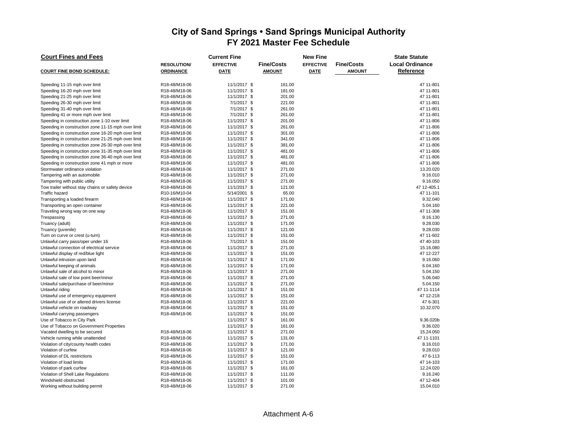| <b>Court Fines and Fees</b>                        |                    | <b>Current Fine</b> |                   | <b>New Fine</b>  | <b>State Statute</b> |                        |  |
|----------------------------------------------------|--------------------|---------------------|-------------------|------------------|----------------------|------------------------|--|
|                                                    | <b>RESOLUTION/</b> | <b>EFFECTIVE</b>    | <b>Fine/Costs</b> | <b>EFFECTIVE</b> | <b>Fine/Costs</b>    | <b>Local Ordinance</b> |  |
| <b>COURT FINE BOND SCHEDULE:</b>                   | <b>ORDINANCE</b>   | <b>DATE</b>         | <b>AMOUNT</b>     | <b>DATE</b>      | <b>AMOUNT</b>        | Reference              |  |
|                                                    |                    |                     |                   |                  |                      |                        |  |
| Speeding 11-15 mph over limit                      | R18-48/M18-06      | 11/1/2017 \$        | 161.00            |                  |                      | 47 11-801              |  |
| Speeding 16-20 mph over limit                      | R18-48/M18-06      | 11/1/2017 \$        | 181.00            |                  |                      | 47 11-801              |  |
| Speeding 21-25 mph over limit                      | R18-48/M18-06      | 11/1/2017 \$        | 201.00            |                  |                      | 47 11-801              |  |
| Speeding 26-30 mph over limit                      | R18-48/M18-06      | 7/1/2017 \$         | 221.00            |                  |                      | 47 11-801              |  |
| Speeding 31-40 mph over limit                      | R18-48/M18-06      | 7/1/2017 \$         | 261.00            |                  |                      | 47 11-801              |  |
| Speeding 41 or more mph over limit                 | R18-48/M18-06      | 7/1/2017 \$         | 261.00            |                  |                      | 47 11-801              |  |
| Speeding in construction zone 1-10 over limit      | R18-48/M18-06      | 11/1/2017 \$        | 201.00            |                  |                      | 47 11-806              |  |
| Speeding in construction zone 11-15 mph over limit | R18-48/M18-06      | 11/1/2017 \$        | 261.00            |                  |                      | 47 11-806              |  |
| Speeding in construction zone 16-20 mph over limit | R18-48/M18-06      | 11/1/2017 \$        | 301.00            |                  |                      | 47 11-806              |  |
| Speeding in construction zone 21-25 mph over limit | R18-48/M18-06      | 11/1/2017 \$        | 341.00            |                  |                      | 47 11-806              |  |
| Speeding in construction zone 26-30 mph over limit | R18-48/M18-06      | 11/1/2017 \$        | 381.00            |                  |                      | 47 11-806              |  |
| Speeding in construction zone 31-35 mph over limit | R18-48/M18-06      | 11/1/2017 \$        | 481.00            |                  |                      | 47 11-806              |  |
| Speeding in construction zone 36-40 mph over limit | R18-48/M18-06      | 11/1/2017 \$        | 481.00            |                  |                      | 47 11-806              |  |
| Speeding in construction zone 41 mph or more       | R18-48/M18-06      | 11/1/2017 \$        | 481.00            |                  |                      | 47 11-806              |  |
| Stormwater ordinance violation                     | R18-48/M18-06      | 11/1/2017 \$        | 271.00            |                  |                      | 13.20.020              |  |
| Tampering with an automobile                       | R18-48/M18-06      | 11/1/2017 \$        | 271.00            |                  |                      | 9.16.010               |  |
| Tampering with public utility                      | R18-48/M18-06      | 11/1/2017 \$        | 271.00            |                  |                      | 9.16.050               |  |
| Tow trailer without stay chains or safety device   | R18-48/M18-06      | 11/1/2017 \$        | 121.00            |                  |                      | 47 12-405.1            |  |
| Traffic hazard                                     | R10-16/M10-04      | 5/14/2001 \$        | 65.00             |                  |                      | 47 11-101              |  |
| Transporting a loaded firearm                      | R18-48/M18-06      | 11/1/2017 \$        | 171.00            |                  |                      | 9.32.040               |  |
| Transporting an open container                     | R18-48/M18-06      | 11/1/2017 \$        | 221.00            |                  |                      | 5.04.160               |  |
| Traveling wrong way on one way                     | R18-48/M18-06      | 11/1/2017 \$        | 151.00            |                  |                      | 47 11-308              |  |
| Trespassing                                        | R18-48/M18-06      | 11/1/2017 \$        | 271.00            |                  |                      | 9.16.130               |  |
| Truancy (adult)                                    | R18-48/M18-06      | 11/1/2017 \$        | 171.00            |                  |                      | 9.28.030               |  |
| Truancy (juvenile)                                 | R18-48/M18-06      | 11/1/2017 \$        | 121.00            |                  |                      | 9.28.030               |  |
| Turn on curve or crest (u-turn)                    | R18-48/M18-06      | 11/1/2017 \$        | 151.00            |                  |                      | 47 11-602              |  |
| Unlawful carry pass/oper under 16                  | R18-48/M18-06      | 7/1/2017 \$         | 151.00            |                  |                      | 47 40-103              |  |
| Unlawful connection of electrical service          | R18-48/M18-06      | 11/1/2017 \$        | 271.00            |                  |                      | 15.16.080              |  |
| Unlawful display of red/blue light                 | R18-48/M18-06      | 11/1/2017 \$        | 151.00            |                  |                      | 47 12-227              |  |
| Unlawful intrusion upon land                       | R18-48/M18-06      | 11/1/2017 \$        | 171.00            |                  |                      | 9.16.060               |  |
| Unlawful keeping of animals                        | R18-48/M18-06      | 11/1/2017 \$        | 171.00            |                  |                      | 6.04.160               |  |
| Unlawful sale of alcohol to minor                  | R18-48/M18-06      | 11/1/2017 \$        | 271.00            |                  |                      | 5.04.150               |  |
| Unlawful sale of low point beer/minor              | R18-48/M18-06      | 11/1/2017 \$        | 271.00            |                  |                      | 5.06.040               |  |
| Unlawful sale/purchase of beer/minor               | R18-48/M18-06      | 11/1/2017 \$        | 271.00            |                  |                      | 5.04.150               |  |
| Unlawful riding                                    | R18-48/M18-06      | 11/1/2017 \$        | 151.00            |                  |                      | 47 11-1114             |  |
| Unlawful use of emergency equipment                | R18-48/M18-06      | 11/1/2017 \$        | 151.00            |                  |                      | 47 12-218              |  |
| Unlawful use of or altered drivers license         | R18-48/M18-06      | 11/1/2017 \$        | 221.00            |                  |                      | 47 6-301               |  |
| Unlawful vehicle on roadway                        | R18-48/M18-06      | 11/1/2017 \$        | 151.00            |                  |                      | 10.32.070              |  |
| Unlawful carrying passengers                       | R18-48/M18-06      | 11/1/2017 \$        | 151.00            |                  |                      |                        |  |
| Use of Tobacco in City Park                        |                    | 11/1/2017 \$        | 161.00            |                  |                      | 9.36.020b              |  |
| Use of Tobacco on Government Properties            |                    | 11/1/2017 \$        | 161.00            |                  |                      | 9.36.020               |  |
| Vacated dwelling to be secured                     | R18-48/M18-06      | 11/1/2017 \$        | 271.00            |                  |                      | 15.24.050              |  |
| Vehicle running while unattended                   | R18-48/M18-06      | 11/1/2017 \$        | 131.00            |                  |                      | 47 11-1101             |  |
| Violation of city/county health codes              | R18-48/M18-06      | 11/1/2017 \$        | 171.00            |                  |                      | 8.16.010               |  |
| Violation of curfew                                | R18-48/M18-06      | 11/1/2017 \$        | 121.00            |                  |                      | 9.28.010               |  |
| Violation of DL restrictions                       | R18-48/M18-06      | 11/1/2017 \$        | 151.00            |                  |                      | 476-113                |  |
| Violation of load limits                           | R18-48/M18-06      | 11/1/2017 \$        | 171.00            |                  |                      | 47 14-103              |  |
| Violation of park curfew                           | R18-48/M18-06      | 11/1/2017 \$        | 161.00            |                  |                      | 12.24.020              |  |
| Violation of Shell Lake Regulations                | R18-48/M18-06      | 11/1/2017 \$        | 111.00            |                  |                      | 9.16.240               |  |
| Windshield obstructed                              | R18-48/M18-06      | 11/1/2017 \$        | 101.00            |                  |                      | 47 12-404              |  |
| Working without building permit                    | R18-48/M18-06      | 11/1/2017 \$        | 271.00            |                  |                      | 15.04.010              |  |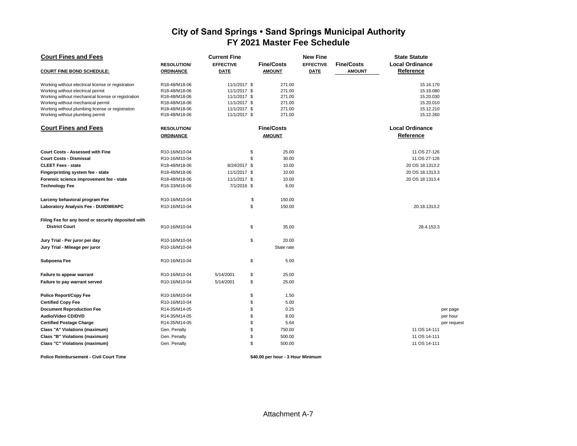| <b>Court Fines and Fees</b>                        |                    | <b>Current Fine</b> |                   | <b>New Fine</b>  |                   | <b>State Statute</b>   |             |  |  |  |
|----------------------------------------------------|--------------------|---------------------|-------------------|------------------|-------------------|------------------------|-------------|--|--|--|
|                                                    | <b>RESOLUTION/</b> | <b>EFFECTIVE</b>    | <b>Fine/Costs</b> | <b>EFFECTIVE</b> | <b>Fine/Costs</b> | <b>Local Ordinance</b> |             |  |  |  |
| <b>COURT FINE BOND SCHEDULE:</b>                   | <b>ORDINANCE</b>   | <b>DATE</b>         | <b>AMOUNT</b>     | <b>DATE</b>      | <b>AMOUNT</b>     | Reference              |             |  |  |  |
| Working without electrical license or registration | R18-48/M18-06      | 11/1/2017 \$        | 271.00            |                  |                   | 15.16.170              |             |  |  |  |
| Working without electrical permit                  | R18-48/M18-06      | 11/1/2017 \$        | 271.00            |                  |                   | 15.16.080              |             |  |  |  |
| Working without mechanical license or registration | R18-48/M18-06      | 11/1/2017 \$        | 271.00            |                  |                   | 15.20.030              |             |  |  |  |
| Working without mechanical permit                  | R18-48/M18-06      | 11/1/2017 \$        | 271.00            |                  |                   | 15.20.010              |             |  |  |  |
| Working without plumbing license or registration   | R18-48/M18-06      | 11/1/2017 \$        | 271.00            |                  |                   | 15.12.210              |             |  |  |  |
| Working without plumbing permit                    | R18-48/M18-06      | 11/1/2017 \$        | 271.00            |                  |                   | 15.12.260              |             |  |  |  |
| <b>Court Fines and Fees</b>                        | <b>RESOLUTION</b>  |                     | <b>Fine/Costs</b> |                  |                   | <b>Local Ordinance</b> |             |  |  |  |
|                                                    | <b>ORDINANCE</b>   |                     | <b>AMOUNT</b>     |                  |                   | Reference              |             |  |  |  |
| Court Costs - Assessed with Fine                   | R10-16/M10-04      | \$                  | 25.00             |                  |                   | 11.OS 27-126           |             |  |  |  |
| <b>Court Costs - Dismissal</b>                     | R10-16/M10-04      | \$                  | 30.00             |                  |                   | 11.OS 27-126           |             |  |  |  |
| <b>CLEET Fees - state</b>                          | R18-48/M18-06      | 8/24/2017 \$        | 10.00             |                  |                   | 20 OS 18.1313.2        |             |  |  |  |
| Fingerprinting system fee - state                  | R18-48/M18-06      | 11/1/2017 \$        | 10.00             |                  |                   | 20 OS 18.1313.3        |             |  |  |  |
| Forensic science improvement fee - state           | R18-48/M18-06      | 11/1/2017 \$        | 10.00             |                  |                   | 20 OS 18 1313.4        |             |  |  |  |
| <b>Technology Fee</b>                              | R16-33/M16-06      | 7/1/2016 \$         | 6.00              |                  |                   |                        |             |  |  |  |
| Larceny behavioral program Fee                     | R10-16/M10-04      | \$                  | 150.00            |                  |                   |                        |             |  |  |  |
| Laboratory Analysis Fee - DUI/DWI/APC              | R10-16/M10-04      | \$                  | 150.00            |                  |                   | 20.18.1313.2           |             |  |  |  |
| Filing Fee for any bond or security deposited with |                    |                     |                   |                  |                   |                        |             |  |  |  |
| <b>District Court</b>                              | R10-16/M10-04      | \$                  | 35.00             |                  |                   | 28.4.153.3             |             |  |  |  |
| Jury Trial - Per juror per day                     | R10-16/M10-04      | \$                  | 20.00             |                  |                   |                        |             |  |  |  |
| Jury Trial - Mileage per juror                     | R10-16/M10-04      |                     | State rate        |                  |                   |                        |             |  |  |  |
| Subpoena Fee                                       | R10-16/M10-04      | \$                  | 5.00              |                  |                   |                        |             |  |  |  |
| <b>Failure to appear warrant</b>                   | R10-16/M10-04      | \$<br>5/14/2001     | 25.00             |                  |                   |                        |             |  |  |  |
| Failure to pay warrant served                      | R10-16/M10-04      | \$<br>5/14/2001     | 25.00             |                  |                   |                        |             |  |  |  |
| <b>Police Report/Copy Fee</b>                      | R10-16/M10-04      | \$                  | 1.50              |                  |                   |                        |             |  |  |  |
| <b>Certified Copy Fee</b>                          | R10-16/M10-04      | \$                  | 5.00              |                  |                   |                        |             |  |  |  |
| <b>Document Reproduction Fee</b>                   | R14-35/M14-05      | \$                  | 0.25              |                  |                   |                        | per page    |  |  |  |
| Audio/Video CD/DVD                                 | R14-35/M14-05      |                     | 8.00              |                  |                   |                        | per hour    |  |  |  |
| <b>Certified Postage Charge</b>                    | R14-35/M14-05      | \$                  | 5.64              |                  |                   |                        | per request |  |  |  |
| Class "A" Violations (maximum)                     | Gen. Penalty       | \$                  | 750.00            |                  |                   | 11 OS 14-111           |             |  |  |  |
| Class "B" Violations (maximum)                     | Gen. Penalty       | \$                  | 500.00            |                  |                   | 11 OS 14-111           |             |  |  |  |
| Class "C" Violations (maximum)                     | Gen. Penalty       | \$                  | 500.00            |                  |                   | 11 OS 14-111           |             |  |  |  |
|                                                    |                    |                     |                   |                  |                   |                        |             |  |  |  |

**Police Reimbursement - Civil Court Time \$40.00 per hour - 3 Hour Minimum**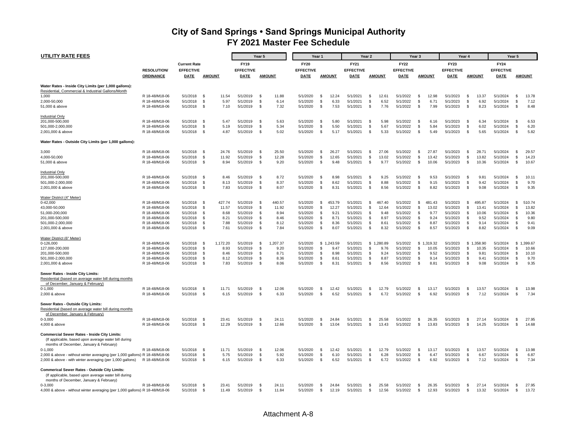| <b>UTILITY RATE FEES</b>                                                                                                                                |                                  |                      |                                |                      | Year 5               |               |                      | Year 1       |                |                      | Year 2    |                |                      | Year <sub>3</sub>    |                |                      | Year 4               |                |                      | Year 5             |                |
|---------------------------------------------------------------------------------------------------------------------------------------------------------|----------------------------------|----------------------|--------------------------------|----------------------|----------------------|---------------|----------------------|--------------|----------------|----------------------|-----------|----------------|----------------------|----------------------|----------------|----------------------|----------------------|----------------|----------------------|--------------------|----------------|
|                                                                                                                                                         |                                  | <b>Current Rate</b>  |                                | <b>FY19</b>          |                      |               | <b>FY20</b>          |              |                | <b>FY21</b>          |           |                | <b>FY22</b>          |                      |                | <b>FY23</b>          |                      |                | <b>FY24</b>          |                    |                |
|                                                                                                                                                         | <b>RESOLUTION/</b>               | <b>EFFECTIVE</b>     |                                | <b>EFFECTIVE</b>     |                      |               | <b>EFFECTIVE</b>     |              |                | <b>EFFECTIVE</b>     |           |                | <b>EFFECTIVE</b>     |                      |                | <b>EFFECTIVE</b>     |                      |                | <b>EFFECTIVE</b>     |                    |                |
|                                                                                                                                                         | <b>ORDINANCE</b>                 | <b>DATE</b>          | <b>AMOUNT</b>                  | <b>DATE</b>          |                      | <b>AMOUNT</b> | DATE                 |              | <b>AMOUNT</b>  | <b>DATE</b>          |           | <b>AMOUNT</b>  | DATE                 |                      | <b>AMOUNT</b>  | <b>DATE</b>          |                      | <b>AMOUNT</b>  | DATE                 |                    | <b>AMOUNT</b>  |
| Water Rates - Inside City Limits (per 1,000 gallons):                                                                                                   |                                  |                      |                                |                      |                      |               |                      |              |                |                      |           |                |                      |                      |                |                      |                      |                |                      |                    |                |
| Residential, Commercial & Industrial Gallons/Month                                                                                                      |                                  |                      |                                |                      |                      |               |                      |              |                |                      |           |                |                      |                      |                |                      |                      |                |                      |                    |                |
| 1,000                                                                                                                                                   | R 18-48/M18-06                   | 5/1/2018             | - \$<br>11.54                  | 5/1/2019             | \$                   | 11.88         | 5/1/2020             | -S<br>\$     | 12.24          | 5/1/2021             | \$        | 12.61          | 5/1/2022             | \$                   | 12.98          | 5/1/2023             | \$                   | 13.37          | 5/1/2024<br>5/1/2024 | \$<br>\$           | 13.78          |
| 2,000-50,000<br>51,000 & above                                                                                                                          | R 18-48/M18-06<br>R 18-48/M18-06 | 5/1/2018<br>5/1/2018 | 5.97<br>\$<br>\$<br>7.10       | 5/1/2019<br>5/1/2019 | \$<br>$\mathfrak{L}$ | 6.14<br>7.32  | 5/1/2020<br>5/1/2020 | <b>S</b>     | 6.33<br>7.53   | 5/1/2021<br>5/1/2021 | \$<br>-S  | 6.52<br>7.76   | 5/1/2022<br>5/1/2022 | \$<br>\$             | 6.71<br>7.99   | 5/1/2023<br>5/1/2023 | \$<br>$\mathfrak{L}$ | 6.92<br>8.23   | 5/1/2024             | $\mathbf{\hat{s}}$ | 7.12<br>8.48   |
|                                                                                                                                                         |                                  |                      |                                |                      |                      |               |                      |              |                |                      |           |                |                      |                      |                |                      |                      |                |                      |                    |                |
| <b>Industrial Only</b>                                                                                                                                  |                                  |                      |                                |                      |                      |               |                      |              |                |                      |           |                |                      |                      |                |                      |                      |                |                      |                    |                |
| 201,000-500,000                                                                                                                                         | R 18-48/M18-06                   | 5/1/2018             | - \$<br>5.47                   | 5/1/2019             | - \$                 | 5.63          | 5/1/2020             | $\mathbf{s}$ | 5.80           | 5/1/2021             | -S        | 5.98           | 5/1/2022             | -\$                  | 6.16           | 5/1/2023             | $\mathfrak{L}$       | 6.34           | 5/1/2024             | -\$                | 6.53           |
| 501,000-2,000,000                                                                                                                                       | R 18-48/M18-06                   | 5/1/2018             | -\$<br>5.19                    | 5/1/2019             | Ŝ.                   | 5.34          | 5/1/2020             | <b>S</b>     | 5.50           | 5/1/2021             | \$        | 5.67           | 5/1/2022             | \$                   | 5.84           | 5/1/2023             | \$                   | 6.02           | 5/1/2024             | -\$                | 6.20           |
| 2,001,000 & above                                                                                                                                       | R 18-48/M18-06                   | 5/1/2018             | \$<br>4.87                     | 5/1/2019             | <b>S</b>             | 5.02          | 5/1/2020             | \$           | 5.17           | 5/1/2021             | \$        | 5.33           | 5/1/2022             | \$                   | 5.49           | 5/1/2023             | \$                   | 5.65           | 5/1/2024             | $\mathbf{\hat{s}}$ | 5.82           |
| Water Rates - Outside City Limits (per 1,000 gallons):                                                                                                  |                                  |                      |                                |                      |                      |               |                      |              |                |                      |           |                |                      |                      |                |                      |                      |                |                      |                    |                |
| 3,000                                                                                                                                                   | R 18-48/M18-06                   | 5/1/2018             | 24.76<br>- \$                  | 5/1/2019             | \$                   | 25.50         | 5/1/2020             | \$           | 26.27          | 5/1/2021             | \$        | 27.06          | 5/1/2022             | \$                   | 27.87          | 5/1/2023             | \$                   | 28.71          | 5/1/2024             | \$                 | 29.57          |
| 4,000-50,000                                                                                                                                            | R 18-48/M18-06                   | 5/1/2018             | - \$<br>11.92                  | 5/1/2019             | \$                   | 12.28         | 5/1/2020             | S.           | 12.65          | 5/1/2021             | \$        | 13.02          | 5/1/2022             | \$                   | 13.42          | 5/1/2023             | \$                   | 13.82          | 5/1/2024             | \$                 | 14.23          |
| 51,000 & above                                                                                                                                          | R 18-48/M18-06                   | 5/1/2018             | - \$<br>8.94                   | 5/1/2019             | -\$                  | 9.20          | 5/1/2020             | - \$         | 9.48           | 5/1/2021             | \$        | 9.77           | 5/1/2022             | \$                   | 10.06          | 5/1/2023             | \$                   | 10.36          | 5/1/2024             | \$                 | 10.67          |
|                                                                                                                                                         |                                  |                      |                                |                      |                      |               |                      |              |                |                      |           |                |                      |                      |                |                      |                      |                |                      |                    |                |
| Industrial Only                                                                                                                                         |                                  |                      |                                |                      |                      |               |                      |              |                |                      |           |                |                      |                      |                |                      |                      |                |                      |                    |                |
| 201,000-500,000                                                                                                                                         | R 18-48/M18-06                   | 5/1/2018             | - \$<br>8.46                   | 5/1/2019             | Ŝ.                   | 8.72          | 5/1/2020             | -S           | 8.98           | 5/1/2021             | \$        | 9.25           | 5/1/2022             | -\$                  | 9.53           | 5/1/2023             | -S                   | 9.81           | 5/1/2024             | -S                 | 10.11          |
| 501,000-2,000,000                                                                                                                                       | R 18-48/M18-06                   | 5/1/2018             | \$<br>8.13                     | 5/1/2019             | \$                   | 8.37          | 5/1/2020             | \$           | 8.62           | 5/1/2021             | \$        | 8.88           | 5/1/2022             | \$                   | 9.15           | 5/1/2023             | \$                   | 9.42           | 5/1/2024             | \$                 | 9.70           |
| 2,001,000 & above                                                                                                                                       | R 18-48/M18-06                   | 5/1/2018             | -\$<br>7.83                    | 5/1/2019             | Ŝ.                   | 8.07          | 5/1/2020             | -S           | 8.31           | 5/1/2021             | \$        | 8.56           | 5/1/2022             | -\$                  | 8.82           | 5/1/2023             | -S                   | 9.08           | 5/1/2024             | -S                 | 9.35           |
| Water District (4" Meter)                                                                                                                               |                                  |                      |                                |                      |                      |               |                      |              |                |                      |           |                |                      |                      |                |                      |                      |                |                      |                    |                |
| $0 - 42,000$                                                                                                                                            | R 18-48/M18-06                   | 5/1/2018             | $\mathbb{S}$<br>427.74         | 5/1/2019             | -S                   | 440.57        | 5/1/2020             | \$           | 453.79         | 5/1/2021             | \$        | 467.40         | 5/1/2022             | \$                   | 481.43         | 5/1/2023             | \$                   | 495.87         | 5/1/2024             | \$                 | 510.74         |
| 43,000-50,000                                                                                                                                           | R 18-48/M18-06                   | 5/1/2018             | 11.57<br>- \$                  | 5/1/2019             | Ŝ.                   | 11.92         | 5/1/2020             | <b>S</b>     | 12.27          | 5/1/2021             | \$        | 12.64          | 5/1/2022             | \$                   | 13.02          | 5/1/2023             | \$                   | 13.41          | 5/1/2024             | \$                 | 13.82          |
| 51,000-200,000                                                                                                                                          | R 18-48/M18-06                   | 5/1/2018             | - \$<br>8.68                   | 5/1/2019             | Ŝ.                   | 8.94          | 5/1/2020             | -S           | 9.21           | 5/1/2021             | \$        | 9.48           | 5/1/2022             | \$                   | 9.77           | 5/1/2023             | \$                   | 10.06          | 5/1/2024             | -\$                | 10.36          |
| 201,000-500,000                                                                                                                                         | R 18-48/M18-06                   | 5/1/2018             | $\mathbb{S}$<br>8.21           | 5/1/2019             | \$                   | 8.46          | 5/1/2020             | \$           | 8.71           | 5/1/2021             | \$        | 8.97           | 5/1/2022             | \$                   | 9.24           | 5/1/2023             | \$                   | 9.52           | 5/1/2024             | \$                 | 9.80           |
| 501,000-2,000,000                                                                                                                                       | R 18-48/M18-06                   | 5/1/2018             | - \$<br>7.88                   | 5/1/2019             | $\mathfrak{L}$       | 8.12          | 5/1/2020             | \$           | 8.36           | 5/1/2021             | \$        | 8.61           | 5/1/2022             | \$                   | 8.87           | 5/1/2023             | -S                   | 9.14           | 5/1/2024             | $\mathbf{\hat{s}}$ | 9.41           |
| 2,001,000 & above                                                                                                                                       | R 18-48/M18-06                   | 5/1/2018             | - \$<br>7.61                   | 5/1/2019             | -S                   | 7.84          | 5/1/2020             | \$           | 8.07           | 5/1/2021             | \$        | 8.32           | 5/1/2022             | \$                   | 8.57           | 5/1/2023             | \$                   | 8.82           | 5/1/2024             | -\$                | 9.09           |
| Water District (6" Meter)                                                                                                                               |                                  |                      |                                |                      |                      |               |                      |              |                |                      |           |                |                      |                      |                |                      |                      |                |                      |                    |                |
| 0-126,000                                                                                                                                               | R 18-48/M18-06                   | 5/1/2018             | - \$<br>1,172.20               | 5/1/2019             | Ŝ.                   | 1,207.37      | 5/1/2020             |              | \$1,243.59     | 5/1/2021             | \$        | 1,280.89       | 5/1/2022             |                      | \$1,319.32     | 5/1/2023             |                      | \$1,358.90     | 5/1/2024             | \$                 | 1,399.67       |
| 127,000-200,000                                                                                                                                         | R 18-48/M18-06                   | 5/1/2018             | - \$<br>8.93                   | 5/1/2019             | \$                   | 9.20          | 5/1/2020             | <b>S</b>     | 9.47           | 5/1/2021             | \$        | 9.76           | 5/1/2022             | \$                   | 10.05          | 5/1/2023             | \$                   | 10.35          | 5/1/2024             | \$                 | 10.66          |
| 201,000-500,000                                                                                                                                         | R 18-48/M18-06                   | 5/1/2018             | \$<br>8.46                     | 5/1/2019             | Ŝ.                   | 8.71          | 5/1/2020             | \$           | 8.98           | 5/1/2021             | \$        | 9.24           | 5/1/2022             | \$                   | 9.52           | 5/1/2023             | \$                   | 9.81           | 5/1/2024             | \$                 | 10.10          |
| 501,000-2,000,000                                                                                                                                       | R 18-48/M18-06                   | 5/1/2018             | -S<br>8.12                     | 5/1/2019             | $\mathfrak{L}$       | 8.36          | 5/1/2020             | \$           | 8.61           | 5/1/2021             | -S        | 8.87           | 5/1/2022             | -S                   | 9.14           | 5/1/2023             | \$.                  | 9.41           | 5/1/2024             | s.                 | 9.70           |
| 2,001,000 & above                                                                                                                                       | R 18-48/M18-06                   | 5/1/2018             | -\$<br>7.83                    | 5/1/2019             | Ŝ.                   | 8.06          | 5/1/2020             | \$           | 8.31           | 5/1/2021             | \$        | 8.56           | 5/1/2022             | -\$                  | 8.81           | 5/1/2023             | \$                   | 9.08           | 5/1/2024             | -S                 | 9.35           |
| Sewer Rates - Inside City Limits:                                                                                                                       |                                  |                      |                                |                      |                      |               |                      |              |                |                      |           |                |                      |                      |                |                      |                      |                |                      |                    |                |
| Residential (based on average water bill during months                                                                                                  |                                  |                      |                                |                      |                      |               |                      |              |                |                      |           |                |                      |                      |                |                      |                      |                |                      |                    |                |
| of December, January & February)                                                                                                                        |                                  |                      |                                |                      |                      |               |                      |              |                |                      |           |                |                      |                      |                |                      |                      |                |                      |                    |                |
| $0-1,000$                                                                                                                                               | R 18-48/M18-06                   | 5/1/2018             | - \$<br>11.71                  | 5/1/2019             | -S                   | 12.06         | 5/1/2020             | -S           | 12.42          | 5/1/2021             | - \$      | 12.79          | 5/1/2022             | \$                   | 13.17          | 5/1/2023             | £.                   | 13.57          | 5/1/2024             | \$                 | 13.98          |
| 2,000 & above                                                                                                                                           | R 18-48/M18-06                   | 5/1/2018             | - \$<br>6.15                   | 5/1/2019             | \$                   | 6.33          | 5/1/2020             | \$           | 6.52           | 5/1/2021             | \$        | 6.72           | 5/1/2022             | -\$                  | 6.92           | 5/1/2023             | \$                   | 7.12           | 5/1/2024             | \$                 | 7.34           |
| Sewer Rates - Outside City Limits:<br>Residential (based on average water bill during months                                                            |                                  |                      |                                |                      |                      |               |                      |              |                |                      |           |                |                      |                      |                |                      |                      |                |                      |                    |                |
| of December, January & February)                                                                                                                        |                                  |                      |                                |                      |                      |               |                      |              |                |                      |           |                |                      |                      |                |                      |                      |                |                      |                    |                |
| $0 - 3,000$                                                                                                                                             | R 18-48/M18-06                   | 5/1/2018             | \$<br>23.41                    | 5/1/2019             | Ŝ.                   | 24.11         | 5/1/2020             | S            | 24.84          | 5/1/2021             | \$        | 25.58          | 5/1/2022             | \$                   | 26.35          | 5/1/2023             | \$                   | 27.14          | 5/1/2024             | -S                 | 27.95          |
| 4,000 & above                                                                                                                                           | R 18-48/M18-06                   | 5/1/2018             | \$<br>12.29                    | 5/1/2019             | $\mathfrak{L}$       | 12.66         | 5/1/2020             | \$.          | 13.04          | 5/1/2021             | -S        | 13.43          | 5/1/2022             | - \$                 | 13.83          | 5/1/2023             | £.                   | 14.25          | 5/1/2024             | s.                 | 14.68          |
| <b>Commercial Sewer Rates - Inside City Limits:</b><br>(If applicable, based upon average water bill during<br>months of December, January & February)  |                                  |                      |                                |                      |                      |               |                      |              |                |                      |           |                |                      |                      |                |                      |                      |                |                      |                    |                |
| $0-1,000$                                                                                                                                               | R 18-48/M18-06                   | 5/1/2018             | \$<br>11.71                    | 5/1/2019             | \$                   | 12.06         | 5/1/2020             | \$           | 12.42          | 5/1/2021             | \$        | 12.79          | 5/1/2022             | \$                   | 13.17          | 5/1/2023             | \$                   | 13.57          | 5/1/2024             | \$                 | 13.98          |
| 2,000 & above - without winter averaging (per 1,000 gallons) R 18-48/M18-06                                                                             |                                  | 5/1/2018             | \$<br>5.75                     | 5/1/2019             | \$                   | 5.92          | 5/1/2020             | \$           | 6.10           | 5/1/2021             | \$        | 6.28           | 5/1/2022             | \$                   | 6.47           | 5/1/2023             | \$                   | 6.67           | 5/1/2024             | \$                 | 6.87           |
| 2,000 & above - with winter averaging (per 1,000 gallons)                                                                                               | R 18-48/M18-06                   | 5/1/2018             | -\$<br>6.15                    | 5/1/2019             | Ŝ.                   | 6.33          | 5/1/2020             | \$           | 6.52           | 5/1/2021             | \$        | 6.72           | 5/1/2022             | -\$                  | 6.92           | 5/1/2023             | \$                   | 7.12           | 5/1/2024             | -S                 | 7.34           |
| <b>Commerical Sewer Rates - Outside City Limits:</b><br>(If applicable, based upon average water bill during<br>months of December, January & February) |                                  |                      |                                |                      |                      |               |                      |              |                |                      |           |                |                      |                      |                |                      |                      |                |                      |                    |                |
| $0-3,000$<br>4,000 & above - without winter averaging (per 1,000 gallons) R 18-48/M18-06                                                                | R 18-48/M18-06                   | 5/1/2018<br>5/1/2018 | 23.41<br>- \$<br>11.49<br>- \$ | 5/1/2019<br>5/1/2019 | Ŝ.<br>-S             | 24.11<br>1184 | 5/1/2020<br>5/1/2020 | \$<br>\$.    | 24.84<br>12.19 | 5/1/2021<br>5/1/2021 | \$<br>\$. | 25.58<br>12.56 | 5/1/2022<br>5/1/2022 | \$<br>$\mathfrak{L}$ | 26.35<br>12.93 | 5/1/2023<br>5/1/2023 | \$<br>£.             | 27.14<br>13.32 | 5/1/2024<br>5/1/2024 | \$<br>-\$          | 27.95<br>13.72 |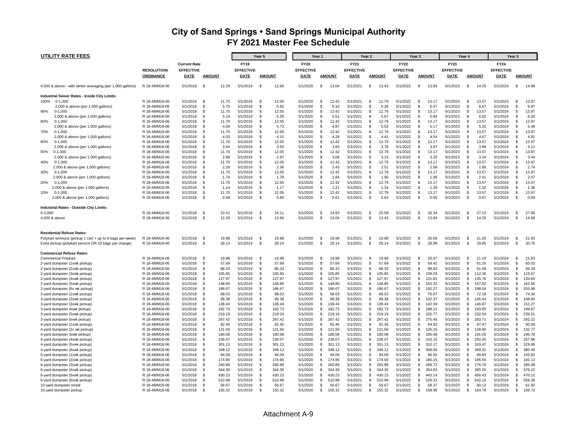| <b>UTILITY RATE FEES</b>                                       |                                  |                      |                                   |                      | Year 5                           |                 |                      | Year 1               |                  |                      | Year 2               |                 | Year 3               |                     |                  |                      | Year 4   |                  |                      | Year 5         |                  |
|----------------------------------------------------------------|----------------------------------|----------------------|-----------------------------------|----------------------|----------------------------------|-----------------|----------------------|----------------------|------------------|----------------------|----------------------|-----------------|----------------------|---------------------|------------------|----------------------|----------|------------------|----------------------|----------------|------------------|
|                                                                |                                  | <b>Current Rate</b>  |                                   | <b>FY19</b>          |                                  |                 | <b>FY20</b>          |                      |                  | <b>FY21</b>          |                      |                 | <b>FY22</b>          |                     |                  | <b>FY23</b>          |          |                  | <b>FY24</b>          |                |                  |
|                                                                |                                  | <b>EFFECTIVE</b>     |                                   | <b>EFFECTIVE</b>     |                                  |                 | <b>EFFECTIVE</b>     |                      |                  | <b>EFFECTIVE</b>     |                      |                 | <b>EFFECTIVE</b>     |                     |                  | <b>EFFECTIVE</b>     |          |                  | <b>EFFECTIVE</b>     |                |                  |
|                                                                | <b>RESOLUTION</b>                |                      |                                   |                      |                                  |                 |                      |                      | <b>AMOUNT</b>    |                      |                      |                 |                      |                     |                  |                      |          | <b>AMOUNT</b>    |                      |                | <b>AMOUNT</b>    |
|                                                                | <b>ORDINANCE</b>                 | DATE                 | <b>AMOUNT</b>                     | <b>DATE</b>          |                                  | <b>AMOUNT</b>   | <b>DATE</b>          |                      |                  | <b>DATE</b>          |                      | <b>AMOUNT</b>   | <b>DATE</b>          |                     | <b>AMOUNT</b>    | DATE                 |          |                  | DATE                 |                |                  |
| 4,000 & above - with winter averaging (per 1,000 gallons)      | R 18-48/M18-06                   | 5/1/2018             | 12.29<br>- S                      | 5/1/2019             | - \$                             | 12.66           | 5/1/2020             | \$                   | 13.04            | 5/1/2021             | \$                   | 13.43           | 5/1/2022             | \$                  | 13.83            | 5/1/2023             | \$       | 14.25            | 5/1/2024             | $\mathfrak{L}$ | 14.68            |
| <b>Industrial Sewer Rates - Inside City Limits:</b>            |                                  |                      |                                   |                      |                                  |                 |                      |                      |                  |                      |                      |                 |                      |                     |                  |                      |          |                  |                      |                |                  |
| 100%<br>$0-1,000$                                              | R 18-48/M18-06                   | 5/1/2018             | \$<br>11.70                       | 5/1/2019             | S                                | 12.05           | 5/1/2020             | <b>S</b>             | 12.42            | 5/1/2021             | $\mathfrak{L}$       | 12.79           | 5/1/2022             | \$                  | 13.17            | 5/1/2023             | \$       | 13.57            | 5/1/2024             |                | 13.97            |
| 2,000 & above (per 1,000 gallons)                              | R 18-48/M18-06                   | 5/1/2018             | \$<br>5.75                        | 5/1/2019             | \$                               | 5.92            | 5/1/2020             | <b>S</b>             | 6.10             | 5/1/2021             | \$                   | 6.28            | 5/1/2022             | \$                  | 6.47             | 5/1/2023             | \$       | 6.67             | 5/1/2024             | - \$           | 6.87             |
| $0-1,000$<br>90%                                               | R 18-48/M18-06                   | 5/1/2018<br>5/1/2018 | \$<br>11.70<br>\$                 | 5/1/2019             | $\mathfrak{L}$<br>\$             | 12.05           | 5/1/2020<br>5/1/2020 | <b>S</b><br><b>S</b> | 12.42            | 5/1/2021<br>5/1/2021 | \$<br>- \$           | 12.79<br>5.67   | 5/1/2022<br>5/1/2022 | \$<br>\$            | 13.17<br>5.84    | 5/1/2023<br>5/1/2023 | \$<br>\$ | 13.57<br>6.02    | 5/1/2024<br>5/1/2024 | - \$<br>-8     | 13.97<br>6.20    |
| 2,000 & above (per 1,000 gallons)<br>80%<br>$0-1,000$          | R 18-48/M18-06<br>R 18-48/M18-06 | 5/1/2018             | 5.19<br>\$<br>11.70               | 5/1/2019<br>5/1/2019 | \$                               | 5.35<br>12.05   | 5/1/2020             | <b>S</b>             | 5.51<br>12.42    | 5/1/2021             | \$                   | 12.79           | 5/1/2022             | \$                  | 13.17            | 5/1/2023             | \$       | 13.57            | 5/1/2024             | - \$           | 13.97            |
| 2,000 & above (per 1,000 gallons)                              | R 18-48/M18-06                   | 5/1/2018             | \$<br>4.59                        | 5/1/2019             | \$                               | 4.73            | 5/1/2020             | <b>S</b>             | 4.87             | 5/1/2021             | \$                   | 5.02            | 5/1/2022             | \$                  | 5.17             | 5/1/2023             | \$       | 5.32             | 5/1/2024             | -8             | 5.48             |
| $0-1,000$<br>70%                                               | R 18-48/M18-06                   | 5/1/2018             | \$<br>11.70                       | 5/1/2019             | Ŝ.                               | 12.05           | 5/1/2020             | \$                   | 12.42            | 5/1/2021             | -\$                  | 12.79           | 5/1/2022             | \$                  | 13.17            | 5/1/2023             | \$       | 13.57            | 5/1/2024             | - \$           | 13.97            |
| 2,000 & above (per 1,000 gallons)                              | R 18-48/M18-06                   | 5/1/2018             | \$<br>4.03                        | 5/1/2019             | $\mathfrak{L}$                   | 4.15            | 5/1/2020             | -S                   | 4.28             | 5/1/2021             | - \$                 | 4.41            | 5/1/2022             | - \$                | 4.54             | 5/1/2023             | \$       | 4.67             | 5/1/2024             | - \$           | 4.81             |
| 60%<br>$0-1,000$                                               | R 18-48/M18-06                   | 5/1/2018             | \$<br>11.70                       | 5/1/2019             | \$                               | 12.05           | 5/1/2020             | <b>S</b>             | 12.42            | 5/1/2021             | \$                   | 12.79           | 5/1/2022             | \$                  | 13.17            | 5/1/2023             | \$       | 13.57            | 5/1/2024             | -S             | 13.97            |
| 2,000 & above (per 1,000 gallons)                              | R 18-48/M18-06                   | 5/1/2018             | <b>S</b><br>3.44                  | 5/1/2019             | $\mathfrak{L}$                   | 3.55            | 5/1/2020             | <b>S</b>             | 3.65             | 5/1/2021             | - \$                 | 3.76            | 5/1/2022             | $\mathcal{S}$       | 3.87             | 5/1/2023             | \$.      | 3.99             | 5/1/2024             | - \$           | 4.11             |
| 50%<br>$0-1,000$                                               | R 18-48/M18-06                   | 5/1/2018             | \$<br>11.70                       | 5/1/2019             | $\mathfrak{L}$                   | 12.05           | 5/1/2020             | \$                   | 12.42            | 5/1/2021             | -\$                  | 12.79           | 5/1/2022             | \$                  | 13.17            | 5/1/2023             | \$       | 13.57            | 5/1/2024             | - \$           | 13.97            |
| 2,000 & above (per 1,000 gallons)                              | R 18-48/M18-06                   | 5/1/2018             | \$<br>2.88                        | 5/1/2019             | \$                               | 2.97            | 5/1/2020             | <b>S</b>             | 3.06             | 5/1/2021             | \$                   | 3.15            | 5/1/2022             | - \$                | 3.25             | 5/1/2023             | \$       | 3.34             | 5/1/2024             | $\mathfrak{L}$ | 3.44             |
| 40%<br>$0-1,000$<br>2,000 & above (per 1,000 gallons)          | R 18-48/M18-06<br>R 18-48/M18-06 | 5/1/2018<br>5/1/2018 | \$<br>11.70<br>\$<br>2.29         | 5/1/2019<br>5/1/2019 | \$<br>$\mathfrak{L}$             | 12.05<br>2.36   | 5/1/2020<br>5/1/2020 | \$<br>-S             | 12.42<br>2.43    | 5/1/2021<br>5/1/2021 | \$<br>-S             | 12.79<br>2.51   | 5/1/2022<br>5/1/2022 | \$<br>$\mathcal{S}$ | 13.17<br>2.58    | 5/1/2023<br>5/1/2023 | \$<br>\$ | 13.57<br>2.66    | 5/1/2024<br>5/1/2024 | - \$           | 13.97<br>2.74    |
| $0-1,000$<br>30%                                               | R 18-48/M18-06                   | 5/1/2018             | \$<br>11.70                       | 5/1/2019             | $\mathfrak{L}$                   | 12.05           | 5/1/2020             | \$                   | 12.42            | 5/1/2021             | \$                   | 12.79           | 5/1/2022             | \$                  | 13.17            | 5/1/2023             | \$       | 13.57            | 5/1/2024             | -8             | 13.97            |
| 2,000 & above (per 1,000 gallons)                              | R 18-48/M18-06                   | 5/1/2018             | \$<br>1.74                        | 5/1/2019             | \$                               | 1.79            | 5/1/2020             | <b>S</b>             | 1.84             | 5/1/2021             | \$                   | 1.90            | 5/1/2022             | - \$                | 1.96             | 5/1/2023             | \$       | 2.01             | 5/1/2024             | $\mathfrak{L}$ | 2.07             |
| 20%<br>$0-1,000$                                               | R 18-48/M18-06                   | 5/1/2018             | \$<br>11 70                       | 5/1/2019             | \$                               | 12.05           | 5/1/2020             | \$                   | 12.42            | 5/1/2021             | \$                   | 12.79           | 5/1/2022             | \$                  | 13.17            | 5/1/2023             | \$       | 13.57            | 5/1/2024             | - \$           | 13.97            |
| 2,000 & above (per 1,000 gallons)                              | R 18-48/M18-06                   | 5/1/2018             | \$<br>1.14                        | 5/1/2019             | $\mathfrak{L}$                   | 1.17            | 5/1/2020             | -S                   | 1.21             | 5/1/2021             | - \$                 | 1.24            | 5/1/2022             | $\mathcal{S}$       | 1.28             | 5/1/2023             | -S       | 1.32             | 5/1/2024             | - \$           | 1.36             |
| 10%<br>$0-1,000$                                               | R 18-48/M18-06                   | 5/1/2018             | \$<br>11.70                       | 5/1/2019             | \$                               | 12.05           | 5/1/2020             | \$                   | 12.42            | 5/1/2021             | \$                   | 12.79           | 5/1/2022             | \$                  | 13.17            | 5/1/2023             | \$       | 13.57            | 5/1/2024             | - \$           | 13.97            |
| 2,000 & above (per 1,000 gallons)                              | R 18-48/M18-06                   | 5/1/2018             | <b>S</b><br>0.58                  | 5/1/2019             | \$                               | 0.60            | 5/1/2020             | <b>S</b>             | 0.61             | 5/1/2021             | \$                   | 0.63            | 5/1/2022             | -\$                 | 0.65             | 5/1/2023             | \$       | 0.67             | 5/1/2024             | - \$           | 0.69             |
| Industrial Rates - Outside City Limits:                        |                                  |                      |                                   |                      |                                  |                 |                      |                      |                  |                      |                      |                 |                      |                     |                  |                      |          |                  |                      |                |                  |
| $0 - 3,000$<br>4,000 & above                                   | R 18-48/M18-06<br>R 18-48/M18-06 | 5/1/2018<br>5/1/2018 | S<br>23.41<br>\$<br>12.29         | 5/1/2019<br>5/1/2019 | -96<br>S                         | 24.11<br>12.66  | 5/1/2020<br>5/1/2020 | \$<br><b>S</b>       | 24.83<br>13.04   | 5/1/2021<br>5/1/2021 | - \$<br>\$           | 25.58<br>13.43  | 5/1/2022<br>5/1/2022 | - \$<br>\$          | 26.34<br>13.84   | 5/1/2023<br>5/1/2023 | \$<br>\$ | 27.13<br>14.25   | 5/1/2024<br>5/1/2024 | - \$<br>- \$   | 27.95<br>14.68   |
| <b>Residential Refuse Rates:</b>                               |                                  |                      |                                   |                      |                                  |                 |                      |                      |                  |                      |                      |                 |                      |                     |                  |                      |          |                  |                      |                |                  |
| Polykart serviuce (pickup 1 cart + up to 8 bags per week)      | R 18-48/M18-06                   | 5/1/2018             | 19.98<br>- \$                     | 5/1/2019             | S                                | 19.98           | 5/1/2020             | -S                   | 19.98            | 5/1/2021             | - \$                 | 19.98           | 5/1/2022             | \$                  | 20.58            | 5/1/2023             | \$       | 21.20            | 5/1/2024             | - \$           | 21.83            |
| Extra pickup (polykart service OR 10 bags per charge)          | R 18-48/M18-06                   | 5/1/2018             | <b>S</b><br>28.14                 | 5/1/2019             | $\mathbf{f}$                     | 28.14           | 5/1/2020             | <b>S</b>             | 28.14            | 5/1/2021             | -S                   | 28.14           | 5/1/2022             | \$                  | 28.98            | 5/1/2023             | \$       | 29.85            | 5/1/2024             | - \$           | 30.75            |
| <b>Commercial Refuse Rates:</b>                                |                                  |                      |                                   |                      |                                  |                 |                      |                      |                  |                      |                      |                 |                      |                     |                  |                      |          |                  |                      |                |                  |
| <b>Commerical Polykart</b>                                     | R 18-48/M18-06<br>R 18-48/M18-06 | 5/1/2018<br>5/1/2018 | 19.98<br><b>S</b><br>\$<br>57.69  | 5/1/2019<br>5/1/2019 | $\mathbf{\hat{s}}$<br>\$         | 19.98<br>57.69  | 5/1/2020<br>5/1/2020 | <b>S</b><br>-S       | 19.98<br>57.69   | 5/1/2021<br>5/1/2021 | $\mathcal{F}$<br>-\$ | 19.98<br>57.69  | 5/1/2022<br>5/1/2022 | \$<br>\$            | 20.57<br>59.42   | 5/1/2023<br>5/1/2023 | \$<br>\$ | 21.19<br>61.20   | 5/1/2024<br>5/1/2024 | - \$<br>- \$   | 21.83<br>63.03   |
| 2-yard dumpster (1xwk pickup)<br>2-yard dumpster (2xwk pickup) | R 18-48/M18-06                   | 5/1/2018             | \$<br>86.33                       | 5/1/2019             | $\mathbf{\hat{s}}$               | 86.33           | 5/1/2020             | -S                   | 86.33            | 5/1/2021             | <b>S</b>             | 86.33           | 5/1/2022             | $\mathfrak s$       | 88.92            | 5/1/2023             | \$       | 91.58            | 5/1/2024             | - \$           | 94.33            |
| 2-yard dumpster (3xwk pickup)                                  | R 18-48/M18-06                   | 5/1/2018             | \$<br>105.85                      | 5/1/2019             | \$                               | 105.85          | 5/1/2020             | \$                   | 105.85           | 5/1/2021             | \$                   | 105.85          | 5/1/2022             | \$                  | 109.03           | 5/1/2023             | \$       | 112.30           | 5/1/2024             | -S             | 115.67           |
| 2-yard dumpster (4xwk pickup)                                  | R 18-48/M18-06                   | 5/1/2018             | <b>S</b><br>127.97                | 5/1/2019             | $\mathfrak{L}$                   | 127.97          | 5/1/2020             | \$                   | 127.97           | 5/1/2021             | - \$                 | 127.97          | 5/1/2022             | $\mathbf{\hat{s}}$  | 131.81           | 5/1/2023             | \$.      | 135.76           | 5/1/2024             | $\mathcal{R}$  | 139.84           |
| 2-yard dumpster (5xwk pickup)                                  | R 18-48/M18-06                   | 5/1/2018             | \$<br>148.85                      | 5/1/2019             | \$                               | 148.85          | 5/1/2020             | \$                   | 148.85           | 5/1/2021             | -\$                  | 148.85          | 5/1/2022             | $\sqrt{3}$          | 153.32           | 5/1/2023             | \$       | 157.92           | 5/1/2024             | - \$           | 162.65           |
| 2-yard dumpster (6x wk pickup)                                 | R 18-48/M18-06                   | 5/1/2018             | \$<br>186.67                      | 5/1/2019             | \$                               | 186.67          | 5/1/2020             | \$                   | 186.67           | 5/1/2021             | \$                   | 186.67          | 5/1/2022             | $\mathfrak s$       | 192.27           | 5/1/2023             | \$       | 198.04           | 5/1/2024             | $\mathfrak{L}$ | 203.98           |
| 3-yard dumpster (1xwk pickup)                                  | R 18-48/M18-06                   | 5/1/2018             | \$<br>68.03                       | 5/1/2019             | \$                               | 68.03           | 5/1/2020             | \$                   | 68.03            | 5/1/2021             | \$                   | 68.03           | 5/1/2022             | \$                  | 70.07            | 5/1/2023             | \$       | 72.18            | 5/1/2024             | ፍ              | 74.34            |
| 3-yard dumpster (2xwk pickup)                                  | R 18-48/M18-06                   | 5/1/2018             | \$<br>99.38<br>138.44             | 5/1/2019             | $\mathfrak{L}$<br>$\mathfrak{L}$ | 99.38<br>138.44 | 5/1/2020             | \$                   | 99.38            | 5/1/2021             | -S                   | 99.38<br>138.44 | 5/1/2022             | \$<br>$\mathfrak s$ | 102.37<br>142.59 | 5/1/2023             | \$       | 105.44<br>146.87 | 5/1/2024             | - \$<br>-8     | 108.60           |
| 3-yard dumpster (3xwk pickup)<br>3-yard dumpster 4xwk pickup)  | R 18-48/M18-06<br>R 18-48/M18-06 | 5/1/2018<br>5/1/2018 | \$<br><b>S</b><br>182.73          | 5/1/2019<br>5/1/2019 | \$                               | 182.73          | 5/1/2020<br>5/1/2020 | \$<br>\$             | 138.44<br>182.73 | 5/1/2021<br>5/1/2021 | \$<br>\$             | 182.73          | 5/1/2022<br>5/1/2022 | \$                  | 188.21           | 5/1/2023<br>5/1/2023 | \$<br>\$ | 193.85           | 5/1/2024<br>5/1/2024 | -S             | 151.27<br>199.67 |
| 3-yard dumpster (5xwk pickup)                                  | R 18-48/M18-06                   | 5/1/2018             | \$<br>219 19                      | 5/1/2019             | $\mathfrak{L}$                   | 219 19          | 5/1/2020             | \$                   | 219.19           | 5/1/2021             | \$                   | 219.19          | 5/1/2022             | $\mathfrak s$       | 225.77           | 5/1/2023             | \$       | 232.54           | 5/1/2024             | - \$           | 239.51           |
| 3-yard dumpster 6xwk pickup)                                   | R 18-48/M18-06                   | 5/1/2018             | \$<br>267.42                      | 5/1/2019             | Ŝ.                               | 267.42          | 5/1/2020             | -S                   | 267.42           | 5/1/2021             | \$                   | 267.42          | 5/1/2022             | - \$                | 275.45           | 5/1/2023             | \$       | 283.71           | 5/1/2024             | - \$           | 292.22           |
| 4-yard dumpster (1xwk pickup)                                  | R 18-48/M18-06                   | 5/1/2018             | S.<br>82.45                       | 5/1/2019             | $\mathbf{\hat{s}}$               | 82.45           | 5/1/2020             | -S                   | 82.45            | 5/1/2021             | <b>S</b>             | 82.45           | 5/1/2022             | s.                  | 84.92            | 5/1/2023             | \$       | 87.47            | 5/1/2024             | - \$           | 90.09            |
| 4-yard dumpster (2x wk pickup)                                 | R 18-48/M18-06                   | 5/1/2018             | \$<br>121.50                      | 5/1/2019             | \$                               | 121.50          | 5/1/2020             | \$                   | 121.50           | 5/1/2021             | \$                   | 121.50          | 5/1/2022             | \$                  | 125.15           | 5/1/2023             | \$       | 128.90           | 5/1/2024             | -S             | 132.77           |
| 4-yard dumpster 3xwk pickup)                                   | R 18-48/M18-06                   | 5/1/2018             | - \$<br>180.08                    | 5/1/2019             | $\mathfrak{L}$                   | 180.08          | 5/1/2020             | \$                   | 180.08           | 5/1/2021             | -S                   | 180.08          | 5/1/2022             | \$                  | 185.48           | 5/1/2023             | -S       | 191.05           | 5/1/2024             | $\mathfrak{L}$ | 196.78           |
| 4-yard dumpster (4xwk pickup)                                  | R 18-48/M18-06                   | 5/1/2018             | \$<br>236.07                      | 5/1/2019             | \$                               | 236.07          | 5/1/2020             | \$                   | 236.07           | 5/1/2021             | -\$                  | 236.07          | 5/1/2022             | -S                  | 243.15           | 5/1/2023             | \$       | 250.45           | 5/1/2024             | - \$           | 257.96           |
| 4-yard dumpster (5xwk pickup)                                  | R 18-48/M18-06                   | 5/1/2018             | \$<br>301.13                      | 5/1/2019             | \$<br>\$                         | 301.13          | 5/1/2020             | \$                   | 301.13           | 5/1/2021             | \$                   | 301.13          | 5/1/2022             | \$                  | 310.17           | 5/1/2023             | \$       | 319.47           | 5/1/2024             | $\mathfrak{L}$ | 329.06           |
| 4-yard dumpster (6xwk pickup)                                  | R 18-48/M18-06<br>R 18-48/M18-06 | 5/1/2018<br>5/1/2018 | \$<br>348.12<br><b>S</b><br>94.09 | 5/1/2019<br>5/1/2019 | $\mathfrak{L}$                   | 348.12<br>94.09 | 5/1/2020<br>5/1/2020 | \$<br>\$             | 348.12<br>94.09  | 5/1/2021<br>5/1/2021 | \$<br>- \$           | 348.12<br>94.09 | 5/1/2022<br>5/1/2022 | \$<br>\$            | 358.56<br>96.92  | 5/1/2023<br>5/1/2023 | \$<br>\$ | 369.32<br>99.83  | 5/1/2024<br>5/1/2024 | -S<br>- \$     | 380.40<br>102.82 |
| 6-yard dumpster (1xwk pickup)<br>6-yard dumpster (2xwk pickup) | R 18-48/M18-06                   | 5/1/2018             | 174.90<br>S.                      | 5/1/2019             | Ŝ.                               | 174.90          | 5/1/2020             | \$                   | 174.90           | 5/1/2021             | \$                   | 174.90          | 5/1/2022             | \$                  | 180.15           | 5/1/2023             | \$       | 185.55           | 5/1/2024             | - \$           | 191.12           |
| 6-yard dumpster (3xwk pickup)                                  | R 18-48/M18-06                   | 5/1/2018             | \$<br>260.89                      | 5/1/2019             | \$                               | 260.89          | 5/1/2020             | <b>S</b>             | 260.89           | 5/1/2021             | \$                   | 260.89          | 5/1/2022             | \$                  | 268.72           | 5/1/2023             | \$       | 276.78           | 5/1/2024             | -S             | 285.08           |
| 6-yard dumpster (4xwk pickup)                                  | R 18-48/M18-06                   | 5/1/2018             | \$<br>344.30                      | 5/1/2019             | $\mathfrak{L}$                   | 344.30          | 5/1/2020             | \$                   | 344.30           | 5/1/2021             | \$                   | 344.30          | 5/1/2022             | \$                  | 354.63           | 5/1/2023             | \$       | 365.26           | 5/1/2024             | - \$           | 376.22           |
| 6-yard dumpster (5xwk pickup)                                  | R 18-48/M18-06                   | 5/1/2018             | <b>S</b><br>430.23                | 5/1/2019             | $\mathfrak{L}$                   | 430.23          | 5/1/2020             | \$                   | 430.23           | 5/1/2021             | - \$                 | 430.23          | 5/1/2022             | \$                  | 443.14           | 5/1/2023             | -S       | 456.43           | 5/1/2024             | - \$           | 470.12           |
| 6-yard dumpster (6xwk pickup)                                  | R 18-48/M18-06                   | 5/1/2018             | \$<br>510.98                      | 5/1/2019             | $\mathbf{\hat{s}}$               | 510.98          | 5/1/2020             | \$                   | 510.98           | 5/1/2021             | $\mathbb{S}$         | 510.98          | 5/1/2022             | $\mathfrak s$       | 526.31           | 5/1/2023             | \$       | 542.10           | 5/1/2024             | - \$           | 558.36           |
| 10-yard dumpster rental                                        | R 18-48/M18-06                   | 5/1/2018             | \$<br>56.67                       | 5/1/2019             | \$                               | 56.67           | 5/1/2020             | \$                   | 56.67            | 5/1/2021             | \$                   | 56.67           | 5/1/2022             | \$                  | 58.37            | 5/1/2023             | \$       | 60.12            | 5/1/2024             | -S             | 61.92            |
| 10-yard dumpster pickup                                        | R 18-48/M18-06                   | 5/1/2018             | 155.32<br>-S                      | 5/1/2019             | £.                               | 155.32          | 5/1/2020             | -S                   | 155.32           | 5/1/2021             | \$.                  | 155.32          | 5/1/2022             | £.                  | 159.98           | 5/1/2023             | -S       | 164.78           | 5/1/2024             | £.             | 169.72           |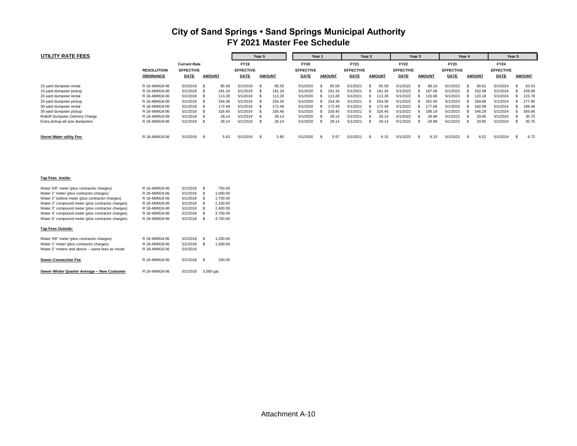| <b>UTILITY RATE FEES</b>         |                                        |                                                        |               |        |                                         | Year 5 |               | Year 1                                         |  |               | Year 2                                         |  |               | Year 3                                         |  |               | Year 4                                         |  |               | Year 5                                  |  |               |
|----------------------------------|----------------------------------------|--------------------------------------------------------|---------------|--------|-----------------------------------------|--------|---------------|------------------------------------------------|--|---------------|------------------------------------------------|--|---------------|------------------------------------------------|--|---------------|------------------------------------------------|--|---------------|-----------------------------------------|--|---------------|
|                                  | <b>RESOLUTION/</b><br><b>ORDINANCE</b> | <b>Current Rate</b><br><b>EFFECTIVE</b><br><b>DATE</b> | <b>AMOUNT</b> |        | <b>FY19</b><br><b>EFFECTIVE</b><br>DATE |        | <b>AMOUNT</b> | <b>FY20</b><br><b>EFFECTIVE</b><br><b>DATE</b> |  | <b>AMOUNT</b> | <b>FY21</b><br><b>EFFECTIVE</b><br><b>DATE</b> |  | <b>AMOUNT</b> | <b>FY22</b><br><b>EFFECTIVE</b><br><b>DATE</b> |  | <b>AMOUNT</b> | <b>FY23</b><br><b>EFFECTIVE</b><br><b>DATE</b> |  | <b>AMOUNT</b> | <b>FY24</b><br><b>EFFECTIVE</b><br>DATE |  | <b>AMOUNT</b> |
| 15-yard dumpster rental          | R 18-48/M18-06                         | 5/1/2018                                               | - \$          | 85.59  | 5/1/2019                                | - \$   | 85.59         | 5/1/2020                                       |  | 85.59         | 5/1/202                                        |  | 85.59         | 5/1/2022                                       |  | 88.16         | 5/1/2023                                       |  | 90.8'         | 5/1/2024                                |  | 93.53         |
| 15-yard dumpster pickup          | R 18-48/M18-06                         | 5/1/2018                                               | - 55          | 191.34 | 5/1/2019                                | - 35   | 191.34        | 5/1/2020                                       |  | 191.34        | 5/1/2021                                       |  | 191.34        | 5/1/2022                                       |  | 197.08        | 5/1/2023                                       |  | 202.99        | 5/1/2024                                |  | 209.08        |
| 20-yard dumpster rental          | R 18-48/M18-06                         | 5/1/2018                                               | - 55          | 113.28 | 5/1/2019                                | £.     | 113.28        | 5/1/2020                                       |  | 113.28        | 5/1/202                                        |  | 113.28        | 5/1/2022                                       |  | 116.68        | 5/1/2023                                       |  | 120.18        | 5/1/2024                                |  | 123.79        |
| 20-yard dumpster pickup          | R 18-48/M18-06                         | 5/1/2018                                               |               | 254.36 | 5/1/2019                                | -86    | 254.36        | 5/1/2020                                       |  | 254.36        | 5/1/202                                        |  | 254.36        | 5/1/2022                                       |  | 262.00        | 5/1/2023                                       |  | 269.86        | 5/1/2024                                |  | 277.95        |
| 30-yard dumpster rental          | R 18-48/M18-06                         | 5/1/2018                                               |               | 172.49 | 5/1/2019                                |        | 172.49        | 5/1/2020                                       |  | 172.49        | 5/1/202                                        |  | 172.49        | 5/1/2022                                       |  | 177.66        | 5/1/2023                                       |  | 182.99        | 5/1/2024                                |  | 188.48        |
| 30-yard dumpster pickup          | R 18-48/M18-06                         | 5/1/2018                                               |               | 326.40 | 5/1/2019                                |        | 326.40        | 5/1/2020                                       |  | 326.40        | 5/1/202                                        |  | 326.40        | 5/1/2022                                       |  | 336.19        | 5/1/2023                                       |  | 346.28        | 5/1/2024                                |  | 356.66        |
| Rolloff Dumpster Delivery Charge | R 18-48/M18-06                         | 5/1/2018                                               |               | 28.14  | 5/1/2019                                |        | 28.14         | 5/1/2020                                       |  | 28.14         | 5/1/202                                        |  | 28.14         | 5/1/2022                                       |  | 28.98         | 5/1/2023                                       |  | 29.85         | 5/1/2024                                |  | 30.75         |
| Extra pickup-all size dumpsters  | R 18-48/M18-06                         | 5/1/2018                                               | - 55          | 28.14  | 5/1/2019                                | £.     | 28.14         | 5/1/2020                                       |  | 28.14         | 5/1/202                                        |  | 28.14         | 5/1/2022                                       |  | 28.98         | 5/1/2023                                       |  | 29.85         | 5/1/2024                                |  | 30.75         |
| <b>Storm Water utility Fee:</b>  | R 18-48/M18-06                         | 5/1/2018                                               | - \$          | 5.63   | 5/1/2019                                | £.     | 5.80          | 5/1/2020                                       |  | 5.97          | 5/1/202                                        |  | 6.15          | 5/1/2022                                       |  | 6.33          | 5/1/2023                                       |  | 6.52          | 5/1/2024                                |  | 6.72          |

| <b>Tap Fees Inside:</b> |
|-------------------------|
|-------------------------|

| Water 5/8" meter (plus contractor charges)        | R 18-48/M18-06 | 5/1/2018 | S<br>750.00 |            |  |  |  |  |
|---------------------------------------------------|----------------|----------|-------------|------------|--|--|--|--|
| Water 1" meter (plus contractor charges)          | R 18-48/M18-06 | 5/1/2018 | S           | 1.000.00   |  |  |  |  |
| Water 2" turbine meter (plus contractor charges)  | R 18-48/M18-06 | 5/1/2018 | S           | 1.700.00   |  |  |  |  |
| Water 2" compound meter (plus contractor charges) | R 18-48/M18-06 | 5/1/2018 | S           | 2.100.00   |  |  |  |  |
| Water 3" compound meter (plus contractor charges) | R 18-48/M18-06 | 5/1/2018 | S           | 2.400.00   |  |  |  |  |
| Water 4" compound meter (plus contractor charges) | R 18-48/M18-06 | 5/1/2018 | S           | 3.700.00   |  |  |  |  |
| Water 6" compound meter (plus contractor charges) | R 18-48/M18-06 | 5/1/2018 | S           | 4.700.00   |  |  |  |  |
| <b>Tap Fees Outside:</b>                          |                |          |             |            |  |  |  |  |
| Water 5/8" meter (plus contractor charges)        | R 18-48/M18-06 | 5/1/2018 | S           | 1.250.00   |  |  |  |  |
| Water 1" meter (plus contractor charges)          | R 18-48/M18-06 | 5/1/2018 | S           | 1.500.00   |  |  |  |  |
| Water 2" meters and above -- same fees as inside  | R 18-48/M18-06 | 5/1/2018 |             |            |  |  |  |  |
| <b>Sewer Connection Fee</b>                       | R 18-48/M18-06 | 5/1/2018 | S           | 200.00     |  |  |  |  |
| Sewer Winter Quarter Average -- New Customer      | R 18-48/M18-06 | 5/1/2018 |             | 3.000 gal. |  |  |  |  |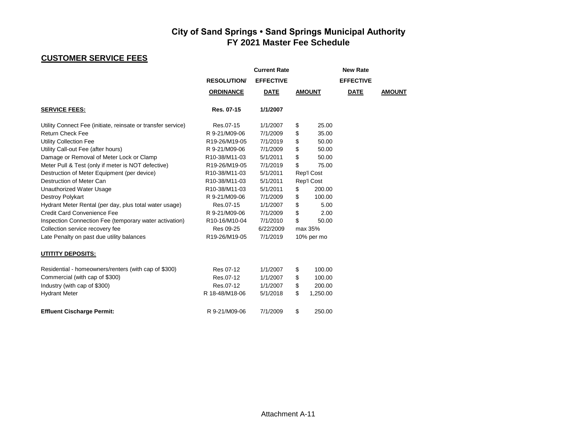### **CUSTOMER SERVICE FEES**

|                                                              |                   | <b>Current Rate</b> |                | <b>New Rate</b>  |               |
|--------------------------------------------------------------|-------------------|---------------------|----------------|------------------|---------------|
|                                                              | <b>RESOLUTION</b> | <b>EFFECTIVE</b>    |                | <b>EFFECTIVE</b> |               |
|                                                              | <b>ORDINANCE</b>  | <b>DATE</b>         | <b>AMOUNT</b>  | <b>DATE</b>      | <b>AMOUNT</b> |
| <b>SERVICE FEES:</b>                                         | Res. 07-15        | 1/1/2007            |                |                  |               |
| Utility Connect Fee (initiate, reinsate or transfer service) | Res.07-15         | 1/1/2007            | \$<br>25.00    |                  |               |
| <b>Return Check Fee</b>                                      | R 9-21/M09-06     | 7/1/2009            | \$<br>35.00    |                  |               |
| <b>Utility Collection Fee</b>                                | R19-26/M19-05     | 7/1/2019            | \$<br>50.00    |                  |               |
| Utility Call-out Fee (after hours)                           | R 9-21/M09-06     | 7/1/2009            | \$<br>50.00    |                  |               |
| Damage or Removal of Meter Lock or Clamp                     | R10-38/M11-03     | 5/1/2011            | \$<br>50.00    |                  |               |
| Meter Pull & Test (only if meter is NOT defective)           | R19-26/M19-05     | 7/1/2019            | \$<br>75.00    |                  |               |
| Destruction of Meter Equipment (per device)                  | R10-38/M11-03     | 5/1/2011            | Rep'l Cost     |                  |               |
| Destruction of Meter Can                                     | R10-38/M11-03     | 5/1/2011            | Rep'l Cost     |                  |               |
| Unauthorized Water Usage                                     | R10-38/M11-03     | 5/1/2011            | \$<br>200.00   |                  |               |
| Destroy Polykart                                             | R 9-21/M09-06     | 7/1/2009            | \$<br>100.00   |                  |               |
| Hydrant Meter Rental (per day, plus total water usage)       | Res.07-15         | 1/1/2007            | \$<br>5.00     |                  |               |
| <b>Credit Card Convenience Fee</b>                           | R 9-21/M09-06     | 7/1/2009            | \$<br>2.00     |                  |               |
| Inspection Connection Fee (temporary water activation)       | R10-16/M10-04     | 7/1/2010            | \$<br>50.00    |                  |               |
| Collection service recovery fee                              | Res 09-25         | 6/22/2009           | max 35%        |                  |               |
| Late Penalty on past due utility balances                    | R19-26/M19-05     | 7/1/2019            | 10% per mo     |                  |               |
| <b>UTITITY DEPOSITS:</b>                                     |                   |                     |                |                  |               |
| Residential - homeowners/renters (with cap of \$300)         | Res 07-12         | 1/1/2007            | \$<br>100.00   |                  |               |
| Commercial (with cap of \$300)                               | Res.07-12         | 1/1/2007            | \$<br>100.00   |                  |               |
| Industry (with cap of \$300)                                 | Res.07-12         | 1/1/2007            | \$<br>200.00   |                  |               |
| <b>Hydrant Meter</b>                                         | R 18-48/M18-06    | 5/1/2018            | \$<br>1,250.00 |                  |               |
| <b>Effluent Cischarge Permit:</b>                            | R 9-21/M09-06     | 7/1/2009            | \$<br>250.00   |                  |               |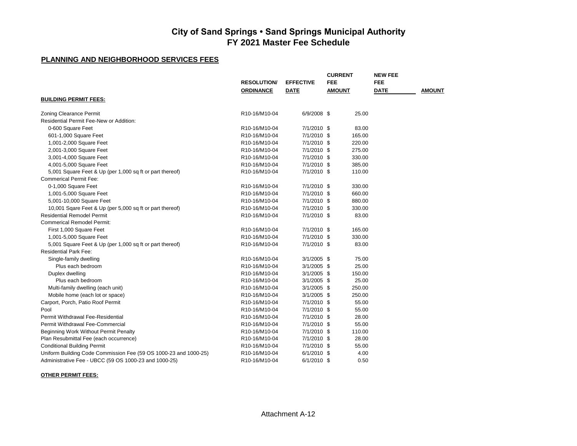#### **PLANNING AND NEIGHBORHOOD SERVICES FEES**

| <b>CURRENT</b><br><b>NEW FEE</b><br><b>FEE</b><br><b>FEE</b><br><b>RESOLUTION/</b><br><b>EFFECTIVE</b>   |               |
|----------------------------------------------------------------------------------------------------------|---------------|
| <b>DATE</b><br><b>ORDINANCE</b><br><b>DATE</b><br><b>AMOUNT</b>                                          | <b>AMOUNT</b> |
|                                                                                                          |               |
| <b>BUILDING PERMIT FEES:</b>                                                                             |               |
| 6/9/2008 \$<br>25.00<br><b>Zoning Clearance Permit</b><br>R10-16/M10-04                                  |               |
| Residential Permit Fee-New or Addition:                                                                  |               |
| 7/1/2010 \$<br>0-600 Square Feet<br>R10-16/M10-04<br>83.00                                               |               |
| 165.00<br>601-1,000 Square Feet<br>R10-16/M10-04<br>7/1/2010 \$                                          |               |
| 7/1/2010 \$<br>220.00<br>1,001-2,000 Square Feet<br>R10-16/M10-04                                        |               |
| 2,001-3,000 Square Feet<br>R10-16/M10-04<br>7/1/2010 \$<br>275.00                                        |               |
| 3,001-4,000 Square Feet<br>R10-16/M10-04<br>7/1/2010 \$<br>330.00                                        |               |
| 4,001-5,000 Square Feet<br>7/1/2010 \$<br>385.00<br>R10-16/M10-04                                        |               |
| 5,001 Square Feet & Up (per 1,000 sq ft or part thereof)<br>7/1/2010 \$<br>110.00<br>R10-16/M10-04       |               |
| <b>Commerical Permit Fee:</b>                                                                            |               |
| 0-1,000 Square Feet<br>7/1/2010 \$<br>330.00<br>R10-16/M10-04                                            |               |
| R10-16/M10-04<br>7/1/2010 \$<br>660.00<br>1,001-5,000 Square Feet                                        |               |
| 5,001-10,000 Square Feet<br>R10-16/M10-04<br>7/1/2010 \$<br>880.00                                       |               |
| 7/1/2010 \$<br>10,001 Sqare Feet & Up (per 5,000 sq ft or part thereof)<br>R10-16/M10-04<br>330.00       |               |
| <b>Residential Remodel Permit</b><br>83.00<br>R10-16/M10-04<br>7/1/2010 \$                               |               |
| <b>Commerical Remodel Permit:</b>                                                                        |               |
| 7/1/2010 \$<br>165.00<br>First 1,000 Square Feet<br>R10-16/M10-04                                        |               |
| 1,001-5,000 Square Feet<br>R10-16/M10-04<br>7/1/2010 \$<br>330.00                                        |               |
| 7/1/2010 \$<br>83.00<br>5,001 Square Feet & Up (per 1,000 sq ft or part thereof)<br>R10-16/M10-04        |               |
| <b>Residential Park Fee:</b>                                                                             |               |
| Single-family dwelling<br>R10-16/M10-04<br>$3/1/2005$ \$<br>75.00                                        |               |
| $3/1/2005$ \$<br>25.00<br>Plus each bedroom<br>R10-16/M10-04                                             |               |
| Duplex dwelling<br>R10-16/M10-04<br>$3/1/2005$ \$<br>150.00                                              |               |
| Plus each bedroom<br>R10-16/M10-04<br>$3/1/2005$ \$<br>25.00                                             |               |
| Multi-family dwelling (each unit)<br>$3/1/2005$ \$<br>250.00<br>R10-16/M10-04                            |               |
| $3/1/2005$ \$<br>250.00<br>Mobile home (each lot or space)<br>R10-16/M10-04                              |               |
| Carport, Porch, Patio Roof Permit<br>55.00<br>R10-16/M10-04<br>7/1/2010 \$                               |               |
| 7/1/2010 \$<br>55.00<br>Pool<br>R10-16/M10-04                                                            |               |
| 7/1/2010 \$<br>28.00<br>Permit Withdrawal Fee-Residential<br>R10-16/M10-04                               |               |
| Permit Withdrawal Fee-Commercial<br>R10-16/M10-04<br>7/1/2010 \$<br>55.00                                |               |
| 110.00<br>Beginning Work Without Permit Penalty<br>R10-16/M10-04<br>7/1/2010 \$                          |               |
| Plan Resubmittal Fee (each occurrence)<br>7/1/2010 \$<br>28.00<br>R10-16/M10-04                          |               |
| <b>Conditional Building Permit</b><br>R10-16/M10-04<br>7/1/2010 \$<br>55.00                              |               |
| Uniform Building Code Commission Fee (59 OS 1000-23 and 1000-25)<br>4.00<br>R10-16/M10-04<br>6/1/2010 \$ |               |
| Administrative Fee - UBCC (59 OS 1000-23 and 1000-25)<br>R10-16/M10-04<br>6/1/2010 \$<br>0.50            |               |

**OTHER PERMIT FEES:**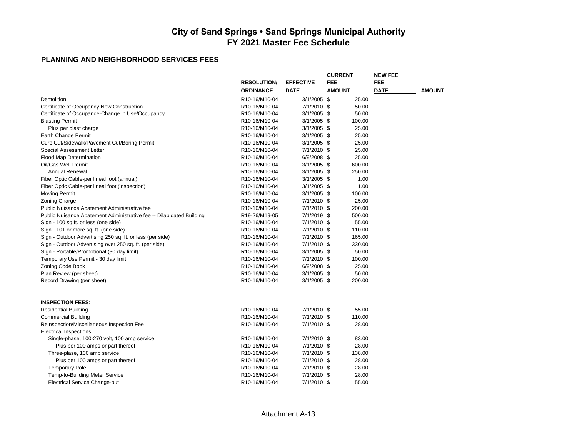| <b>FEE</b><br><b>RESOLUTION/</b><br><b>EFFECTIVE</b><br><b>FEE</b><br><b>DATE</b><br><b>ORDINANCE</b><br><b>DATE</b><br>AMOUNT<br>Demolition<br>$3/1/2005$ \$<br>25.00<br>R10-16/M10-04 | <b>AMOUNT</b> |
|-----------------------------------------------------------------------------------------------------------------------------------------------------------------------------------------|---------------|
|                                                                                                                                                                                         |               |
|                                                                                                                                                                                         |               |
|                                                                                                                                                                                         |               |
| 7/1/2010 \$<br>50.00<br>Certificate of Occupancy-New Construction<br>R10-16/M10-04                                                                                                      |               |
| $3/1/2005$ \$<br>50.00<br>Certificate of Occupance-Change in Use/Occupancy<br>R10-16/M10-04                                                                                             |               |
| $3/1/2005$ \$<br>100.00<br><b>Blasting Permit</b><br>R10-16/M10-04                                                                                                                      |               |
| $3/1/2005$ \$<br>25.00<br>Plus per blast charge<br>R10-16/M10-04                                                                                                                        |               |
| $3/1/2005$ \$<br>25.00<br>Earth Change Permit<br>R10-16/M10-04                                                                                                                          |               |
| $3/1/2005$ \$<br>25.00<br>Curb Cut/Sidewalk/Pavement Cut/Boring Permit<br>R10-16/M10-04                                                                                                 |               |
| 7/1/2010 \$<br>25.00<br><b>Special Assessment Letter</b><br>R10-16/M10-04                                                                                                               |               |
| Flood Map Determination<br>R10-16/M10-04<br>6/9/2008 \$<br>25.00                                                                                                                        |               |
| Oil/Gas Well Permit<br>R10-16/M10-04<br>$3/1/2005$ \$<br>600.00                                                                                                                         |               |
| Annual Renewal<br>$3/1/2005$ \$<br>250.00<br>R10-16/M10-04                                                                                                                              |               |
| Fiber Optic Cable-per lineal foot (annual)<br>$3/1/2005$ \$<br>1.00<br>R10-16/M10-04                                                                                                    |               |
| 1.00<br>Fiber Optic Cable-per lineal foot (inspection)<br>$3/1/2005$ \$<br>R10-16/M10-04                                                                                                |               |
| <b>Moving Permit</b><br>R10-16/M10-04<br>$3/1/2005$ \$<br>100.00                                                                                                                        |               |
| 7/1/2010 \$<br>25.00<br>Zoning Charge<br>R10-16/M10-04                                                                                                                                  |               |
| Public Nuisance Abatement Administrative fee<br>7/1/2010 \$<br>200.00<br>R10-16/M10-04                                                                                                  |               |
| Public Nuisance Abatement Administrative fee -- Dilapidated Building<br>7/1/2019 \$<br>500.00<br>R19-26/M19-05                                                                          |               |
| 7/1/2010 \$<br>55.00<br>Sign - 100 sq ft. or less (one side)<br>R10-16/M10-04                                                                                                           |               |
| 7/1/2010 \$<br>110.00<br>Sign - 101 or more sq. ft. (one side)<br>R10-16/M10-04                                                                                                         |               |
| Sign - Outdoor Advertising 250 sq. ft. or less (per side)<br>R10-16/M10-04<br>7/1/2010 \$<br>165.00                                                                                     |               |
| 7/1/2010 \$<br>Sign - Outdoor Advertising over 250 sq. ft. (per side)<br>R10-16/M10-04<br>330.00                                                                                        |               |
| Sign - Portable/Promotional (30 day limit)<br>R10-16/M10-04<br>$3/1/2005$ \$<br>50.00                                                                                                   |               |
| 7/1/2010 \$<br>100.00<br>Temporary Use Permit - 30 day limit<br>R10-16/M10-04                                                                                                           |               |
| 25.00<br>Zoning Code Book<br>R10-16/M10-04<br>6/9/2008 \$                                                                                                                               |               |
| 50.00<br>Plan Review (per sheet)<br>R10-16/M10-04<br>$3/1/2005$ \$                                                                                                                      |               |
| Record Drawing (per sheet)<br>R10-16/M10-04<br>$3/1/2005$ \$<br>200.00                                                                                                                  |               |
|                                                                                                                                                                                         |               |
| <b>INSPECTION FEES:</b>                                                                                                                                                                 |               |
| <b>Residential Building</b><br>R10-16/M10-04<br>7/1/2010 \$<br>55.00                                                                                                                    |               |
| <b>Commercial Building</b><br>R10-16/M10-04<br>7/1/2010 \$<br>110.00                                                                                                                    |               |
| 7/1/2010 \$<br>28.00<br>Reinspection/Miscellaneous Inspection Fee<br>R10-16/M10-04                                                                                                      |               |
| <b>Electrical Inspections</b>                                                                                                                                                           |               |
| 7/1/2010 \$<br>83.00<br>Single-phase, 100-270 volt, 100 amp service<br>R10-16/M10-04                                                                                                    |               |
| R10-16/M10-04<br>7/1/2010 \$<br>28.00<br>Plus per 100 amps or part thereof                                                                                                              |               |
| Three-plase, 100 amp service<br>7/1/2010 \$<br>138.00<br>R10-16/M10-04                                                                                                                  |               |
| 7/1/2010 \$<br>28.00<br>Plus per 100 amps or part thereof<br>R10-16/M10-04                                                                                                              |               |
| <b>Temporary Pole</b><br>7/1/2010 \$<br>28.00<br>R10-16/M10-04                                                                                                                          |               |
| 28.00<br>Temp-to-Building Meter Service<br>R10-16/M10-04<br>7/1/2010 \$                                                                                                                 |               |
| 7/1/2010 \$<br>55.00<br><b>Electrical Service Change-out</b><br>R10-16/M10-04                                                                                                           |               |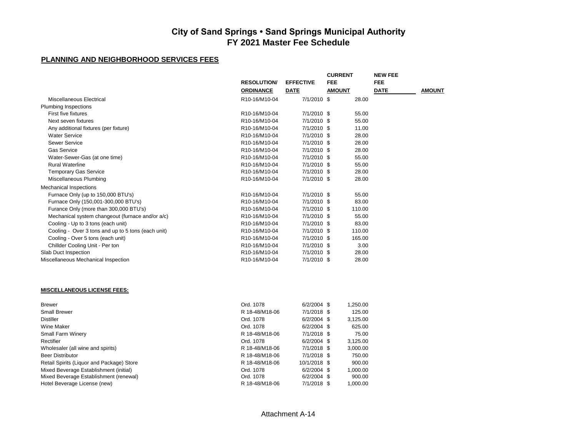|                                                    |                    |                  | <b>CURRENT</b> | <b>NEW FEE</b> |               |
|----------------------------------------------------|--------------------|------------------|----------------|----------------|---------------|
|                                                    | <b>RESOLUTION/</b> | <b>EFFECTIVE</b> | <b>FEE</b>     | <b>FEE</b>     |               |
|                                                    | <b>ORDINANCE</b>   | <b>DATE</b>      | <b>AMOUNT</b>  | <b>DATE</b>    | <b>AMOUNT</b> |
| Miscellaneous Electrical                           | R10-16/M10-04      | 7/1/2010 \$      | 28.00          |                |               |
| <b>Plumbing Inspections</b>                        |                    |                  |                |                |               |
| First five fixtures                                | R10-16/M10-04      | 7/1/2010 \$      | 55.00          |                |               |
| Next seven fixtures                                | R10-16/M10-04      | 7/1/2010 \$      | 55.00          |                |               |
| Any additional fixtures (per fixture)              | R10-16/M10-04      | 7/1/2010 \$      | 11.00          |                |               |
| <b>Water Service</b>                               | R10-16/M10-04      | 7/1/2010 \$      | 28.00          |                |               |
| Sewer Service                                      | R10-16/M10-04      | 7/1/2010 \$      | 28.00          |                |               |
| <b>Gas Service</b>                                 | R10-16/M10-04      | 7/1/2010 \$      | 28.00          |                |               |
| Water-Sewer-Gas (at one time)                      | R10-16/M10-04      | 7/1/2010 \$      | 55.00          |                |               |
| <b>Rural Waterline</b>                             | R10-16/M10-04      | 7/1/2010 \$      | 55.00          |                |               |
| <b>Temporary Gas Service</b>                       | R10-16/M10-04      | 7/1/2010 \$      | 28.00          |                |               |
| Miscellaneous Plumbing                             | R10-16/M10-04      | 7/1/2010 \$      | 28.00          |                |               |
| <b>Mechanical Inspections</b>                      |                    |                  |                |                |               |
| Furnace Only (up to 150,000 BTU's)                 | R10-16/M10-04      | 7/1/2010 \$      | 55.00          |                |               |
| Furnace Only (150,001-300,000 BTU's)               | R10-16/M10-04      | 7/1/2010 \$      | 83.00          |                |               |
| Furance Only (more than 300,000 BTU's)             | R10-16/M10-04      | 7/1/2010 \$      | 110.00         |                |               |
| Mechanical system changeout (furnace and/or a/c)   | R10-16/M10-04      | 7/1/2010 \$      | 55.00          |                |               |
| Cooling - Up to 3 tons (each unit)                 | R10-16/M10-04      | 7/1/2010 \$      | 83.00          |                |               |
| Cooling - Over 3 tons and up to 5 tons (each unit) | R10-16/M10-04      | 7/1/2010 \$      | 110.00         |                |               |
| Cooling - Over 5 tons (each unit)                  | R10-16/M10-04      | 7/1/2010 \$      | 165.00         |                |               |
| Chillder Cooling Unit - Per ton                    | R10-16/M10-04      | 7/1/2010 \$      | 3.00           |                |               |
| Slab Duct Inspection                               | R10-16/M10-04      | 7/1/2010 \$      | 28.00          |                |               |
| Miscellaneous Mechanical Inspection                | R10-16/M10-04      | 7/1/2010 \$      | 28.00          |                |               |
|                                                    |                    |                  |                |                |               |
| <b>MISCELLANEOUS LICENSE FEES:</b>                 |                    |                  |                |                |               |
|                                                    | 0.11070            | 0.000001         | 1.050.00       |                |               |

| <b>Brewer</b>                             | Ord. 1078      | $6/2/2004$ \$ | 1,250.00 |
|-------------------------------------------|----------------|---------------|----------|
| <b>Small Brewer</b>                       | R 18-48/M18-06 | 7/1/2018 \$   | 125.00   |
| <b>Distiller</b>                          | Ord. 1078      | $6/2/2004$ \$ | 3,125.00 |
| Wine Maker                                | Ord. 1078      | $6/2/2004$ \$ | 625.00   |
| <b>Small Farm Winery</b>                  | R 18-48/M18-06 | $7/1/2018$ \$ | 75.00    |
| Rectifier                                 | Ord. 1078      | $6/2/2004$ \$ | 3,125.00 |
| Wholesaler (all wine and spirits)         | R 18-48/M18-06 | 7/1/2018 \$   | 3,000.00 |
| <b>Beer Distributor</b>                   | R 18-48/M18-06 | $7/1/2018$ \$ | 750.00   |
| Retail Spirits (Liquor and Package) Store | R 18-48/M18-06 | 10/1/2018 \$  | 900.00   |
| Mixed Beverage Establishment (initial)    | Ord. 1078      | $6/2/2004$ \$ | 1,000.00 |
| Mixed Beverage Establishment (renewal)    | Ord. 1078      | $6/2/2004$ \$ | 900.00   |
| Hotel Beverage License (new)              | R 18-48/M18-06 | $7/1/2018$ \$ | 1.000.00 |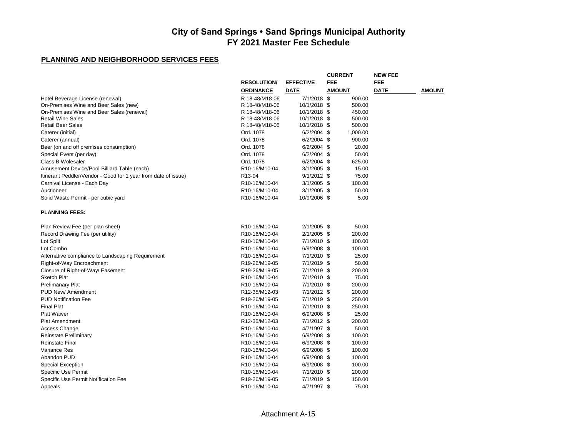|                                                                |                                         |                  | <b>CURRENT</b> | <b>NEW FEE</b> |               |
|----------------------------------------------------------------|-----------------------------------------|------------------|----------------|----------------|---------------|
|                                                                | <b>RESOLUTION/</b>                      | <b>EFFECTIVE</b> | <b>FEE</b>     | <b>FEE</b>     |               |
|                                                                | <b>ORDINANCE</b>                        | <b>DATE</b>      | <b>AMOUNT</b>  | <b>DATE</b>    | <b>AMOUNT</b> |
| Hotel Beverage License (renewal)                               | R 18-48/M18-06                          | 7/1/2018 \$      | 900.00         |                |               |
| On-Premises Wine and Beer Sales (new)                          | R 18-48/M18-06                          | 10/1/2018 \$     | 500.00         |                |               |
| On-Premises Wine and Beer Sales (renewal)                      | R 18-48/M18-06                          | 10/1/2018 \$     | 450.00         |                |               |
| <b>Retail Wine Sales</b>                                       | R 18-48/M18-06                          | 10/1/2018 \$     | 500.00         |                |               |
| <b>Retail Beer Sales</b>                                       | R 18-48/M18-06                          | 10/1/2018 \$     | 500.00         |                |               |
| Caterer (initial)                                              | Ord. 1078                               | 6/2/2004 \$      | 1,000.00       |                |               |
| Caterer (annual)                                               | Ord. 1078                               | 6/2/2004 \$      | 900.00         |                |               |
| Beer (on and off premises consumption)                         | Ord. 1078                               | 6/2/2004 \$      | 20.00          |                |               |
| Special Event (per day)                                        | Ord. 1078                               | 6/2/2004 \$      | 50.00          |                |               |
| Class B Wolesaler                                              | Ord. 1078                               | $6/2/2004$ \$    | 625.00         |                |               |
| Amusement Device/Pool-Billiard Table (each)                    | R10-16/M10-04                           | $3/1/2005$ \$    | 15.00          |                |               |
| Itinerant Peddler/Vendor - Good for 1 year from date of issue) | R <sub>13</sub> -04                     | $9/1/2012$ \$    | 75.00          |                |               |
| Carnival License - Each Day                                    | R <sub>10</sub> -16/M <sub>10</sub> -04 | $3/1/2005$ \$    | 100.00         |                |               |
| Auctioneer                                                     | R10-16/M10-04                           | $3/1/2005$ \$    | 50.00          |                |               |
| Solid Waste Permit - per cubic yard                            | R10-16/M10-04                           | 10/9/2006 \$     | 5.00           |                |               |
| <b>PLANNING FEES:</b>                                          |                                         |                  |                |                |               |
| Plan Review Fee (per plan sheet)                               | R10-16/M10-04                           | 2/1/2005 \$      | 50.00          |                |               |
| Record Drawing Fee (per utility)                               | R10-16/M10-04                           | 2/1/2005 \$      | 200.00         |                |               |
| Lot Split                                                      | R <sub>10</sub> -16/M <sub>10</sub> -04 | 7/1/2010 \$      | 100.00         |                |               |
| Lot Combo                                                      | R10-16/M10-04                           | 6/9/2008 \$      | 100.00         |                |               |
| Alternative compliance to Landscaping Requirement              | R10-16/M10-04                           | 7/1/2010 \$      | 25.00          |                |               |
| Right-of-Way Encroachment                                      | R19-26/M19-05                           | 7/1/2019 \$      | 50.00          |                |               |
| Closure of Right-of-Way/ Easement                              | R19-26/M19-05                           | 7/1/2019 \$      | 200.00         |                |               |
| <b>Sketch Plat</b>                                             | R10-16/M10-04                           | 7/1/2010 \$      | 75.00          |                |               |
| <b>Prelimanary Plat</b>                                        | R10-16/M10-04                           | 7/1/2010 \$      | 200.00         |                |               |
| PUD New/Amendment                                              | R <sub>12</sub> -35/M <sub>12</sub> -03 | 7/1/2012 \$      | 200.00         |                |               |
| <b>PUD Notification Fee</b>                                    | R19-26/M19-05                           | 7/1/2019 \$      | 250.00         |                |               |
| <b>Final Plat</b>                                              | R10-16/M10-04                           | 7/1/2010 \$      | 250.00         |                |               |
| <b>Plat Waiver</b>                                             | R10-16/M10-04                           | 6/9/2008 \$      | 25.00          |                |               |
| <b>Plat Amendment</b>                                          | R12-35/M12-03                           | 7/1/2012 \$      | 200.00         |                |               |
| Access Change                                                  | R10-16/M10-04                           | 4/7/1997 \$      | 50.00          |                |               |
| Reinstate Preliminary                                          | R10-16/M10-04                           | 6/9/2008 \$      | 100.00         |                |               |
| <b>Reinstate Final</b>                                         | R <sub>10</sub> -16/M <sub>10</sub> -04 | 6/9/2008 \$      | 100.00         |                |               |
| Variance Res                                                   | R10-16/M10-04                           | 6/9/2008 \$      | 100.00         |                |               |
| Abandon PUD                                                    | R10-16/M10-04                           | 6/9/2008 \$      | 100.00         |                |               |
| <b>Special Exception</b>                                       | R10-16/M10-04                           | 6/9/2008 \$      | 100.00         |                |               |
| Specific Use Permit                                            | R <sub>10</sub> -16/M <sub>10</sub> -04 | 7/1/2010 \$      | 200.00         |                |               |
| Specific Use Permit Notification Fee                           | R19-26/M19-05                           | 7/1/2019 \$      | 150.00         |                |               |
| Appeals                                                        | R10-16/M10-04                           | 4/7/1997 \$      | 75.00          |                |               |
|                                                                |                                         |                  |                |                |               |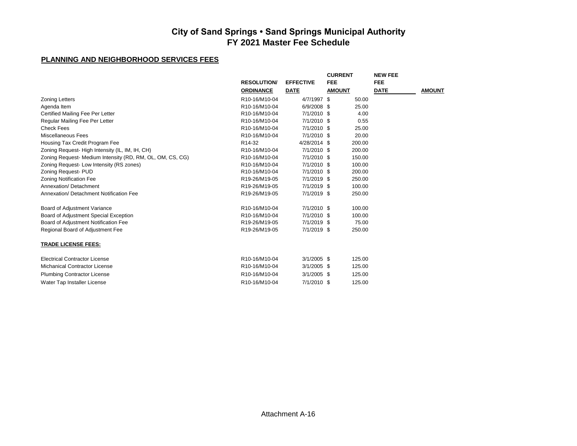|                                                           |                     |                  | <b>CURRENT</b> | <b>NEW FEE</b> |               |
|-----------------------------------------------------------|---------------------|------------------|----------------|----------------|---------------|
|                                                           | <b>RESOLUTION/</b>  | <b>EFFECTIVE</b> | <b>FEE</b>     | <b>FEE</b>     |               |
|                                                           | <b>ORDINANCE</b>    | <b>DATE</b>      | <b>AMOUNT</b>  | <b>DATE</b>    | <b>AMOUNT</b> |
| <b>Zoning Letters</b>                                     | R10-16/M10-04       | 4/7/1997 \$      | 50.00          |                |               |
| Agenda Item                                               | R10-16/M10-04       | 6/9/2008 \$      | 25.00          |                |               |
| Certified Mailing Fee Per Letter                          | R10-16/M10-04       | 7/1/2010 \$      | 4.00           |                |               |
| Regular Mailing Fee Per Letter                            | R10-16/M10-04       | 7/1/2010 \$      | 0.55           |                |               |
| <b>Check Fees</b>                                         | R10-16/M10-04       | 7/1/2010 \$      | 25.00          |                |               |
| Miscellaneous Fees                                        | R10-16/M10-04       | 7/1/2010 \$      | 20.00          |                |               |
| Housing Tax Credit Program Fee                            | R <sub>14</sub> -32 | 4/28/2014 \$     | 200.00         |                |               |
| Zoning Request-High Intensity (IL, IM, IH, CH)            | R10-16/M10-04       | 7/1/2010 \$      | 200.00         |                |               |
| Zoning Request- Medium Intensity (RD, RM, OL, OM, CS, CG) | R10-16/M10-04       | 7/1/2010 \$      | 150.00         |                |               |
| Zoning Request-Low Intensity (RS zones)                   | R10-16/M10-04       | 7/1/2010 \$      | 100.00         |                |               |
| Zoning Request- PUD                                       | R10-16/M10-04       | 7/1/2010 \$      | 200.00         |                |               |
| <b>Zoning Notification Fee</b>                            | R19-26/M19-05       | 7/1/2019 \$      | 250.00         |                |               |
| Annexation/Detachment                                     | R19-26/M19-05       | 7/1/2019 \$      | 100.00         |                |               |
| Annexation/ Detachment Notification Fee                   | R19-26/M19-05       | 7/1/2019 \$      | 250.00         |                |               |
| Board of Adjustment Variance                              | R10-16/M10-04       | 7/1/2010 \$      | 100.00         |                |               |
| Board of Adjustment Special Exception                     | R10-16/M10-04       | 7/1/2010 \$      | 100.00         |                |               |
| Board of Adjustment Notification Fee                      | R19-26/M19-05       | 7/1/2019 \$      | 75.00          |                |               |
| Regional Board of Adjustment Fee                          | R19-26/M19-05       | 7/1/2019 \$      | 250.00         |                |               |
| <b>TRADE LICENSE FEES:</b>                                |                     |                  |                |                |               |
| <b>Electrical Contractor License</b>                      | R10-16/M10-04       | $3/1/2005$ \$    | 125.00         |                |               |
| <b>Michanical Contractor License</b>                      | R10-16/M10-04       | 3/1/2005 \$      | 125.00         |                |               |
| <b>Plumbing Contractor License</b>                        | R10-16/M10-04       | 3/1/2005 \$      | 125.00         |                |               |
| Water Tap Installer License                               | R10-16/M10-04       | 7/1/2010 \$      | 125.00         |                |               |
|                                                           |                     |                  |                |                |               |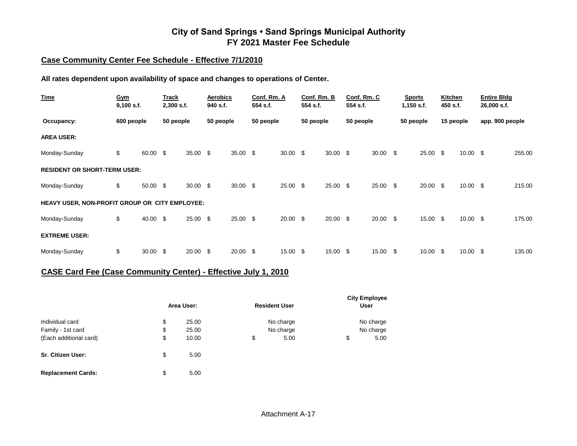#### **Case Community Center Fee Schedule - Effective 7/1/2010**

**All rates dependent upon availability of space and changes to operations of Center.**

| <b>Time</b>                                    | Gym<br>$9,100$ s.f. |            | Track<br>2,300 s.f. |                 | <b>Aerobics</b><br>940 s.f. |            | Conf. Rm. A<br>554 s.f. |                 | Conf. Rm. B<br>554 s.f. |            | Conf. Rm. C<br>554 s.f. |                 | <b>Sports</b><br>$1,150$ s.f. |                     | Kitchen<br>450 s.f. |                     | <b>Entire Bldg</b><br>26,000 s.f. |        |
|------------------------------------------------|---------------------|------------|---------------------|-----------------|-----------------------------|------------|-------------------------|-----------------|-------------------------|------------|-------------------------|-----------------|-------------------------------|---------------------|---------------------|---------------------|-----------------------------------|--------|
| Occupancy:                                     | 600 people          |            | 50 people           |                 | 50 people                   |            | 50 people               |                 | 50 people               |            | 50 people               |                 | 50 people                     |                     | 15 people           |                     | app. 900 people                   |        |
| <b>AREA USER:</b>                              |                     |            |                     |                 |                             |            |                         |                 |                         |            |                         |                 |                               |                     |                     |                     |                                   |        |
| Monday-Sunday                                  | \$                  | 60.00 \$   |                     | 35.00           | - \$                        | 35.00 \$   |                         | $30.00\quad$ \$ |                         | $30.00$ \$ |                         | $30.00\quad$ \$ |                               | 25.00 \$            |                     | $10.00 \text{ }$ \$ |                                   | 255.00 |
| <b>RESIDENT OR SHORT-TERM USER:</b>            |                     |            |                     |                 |                             |            |                         |                 |                         |            |                         |                 |                               |                     |                     |                     |                                   |        |
| Monday-Sunday                                  | \$                  | 50.00 \$   |                     | $30.00 \quad $$ |                             | $30.00$ \$ |                         | $25.00$ \$      |                         | $25.00$ \$ |                         | $25.00$ \$      |                               | $20.00\quad$ \$     |                     | $10.00 \text{ }$ \$ |                                   | 215.00 |
| HEAVY USER, NON-PROFIT GROUP OR CITY EMPLOYEE: |                     |            |                     |                 |                             |            |                         |                 |                         |            |                         |                 |                               |                     |                     |                     |                                   |        |
| Monday-Sunday                                  | \$                  | 40.00 \$   |                     | $25.00$ \$      |                             | $25.00$ \$ |                         | $20.00\quad$ \$ |                         | $20.00$ \$ |                         | $20.00\quad$ \$ |                               | 15.00 \$            |                     | $10.00 \text{ }$ \$ |                                   | 175.00 |
| <b>EXTREME USER:</b>                           |                     |            |                     |                 |                             |            |                         |                 |                         |            |                         |                 |                               |                     |                     |                     |                                   |        |
| Monday-Sunday                                  | \$                  | $30.00$ \$ |                     | 20.00           | -\$                         | $20.00$ \$ |                         | 15.00 \$        |                         | 15.00 \$   |                         | 15.00           | - \$                          | $10.00 \text{ }$ \$ |                     | $10.00 \text{ }$ \$ |                                   | 135.00 |

### **CASE Card Fee (Case Community Center) - Effective July 1, 2010**

|                           | Area User:  | <b>Resident User</b> | <b>City Employee</b><br><b>User</b> |
|---------------------------|-------------|----------------------|-------------------------------------|
| Individual card           | \$<br>25.00 | No charge            | No charge                           |
| Family - 1st card         | \$<br>25.00 | No charge            | No charge                           |
| (Each additional card)    | \$<br>10.00 | \$<br>5.00           | \$<br>5.00                          |
| Sr. Citizen User:         | \$<br>5.00  |                      |                                     |
| <b>Replacement Cards:</b> | \$<br>5.00  |                      |                                     |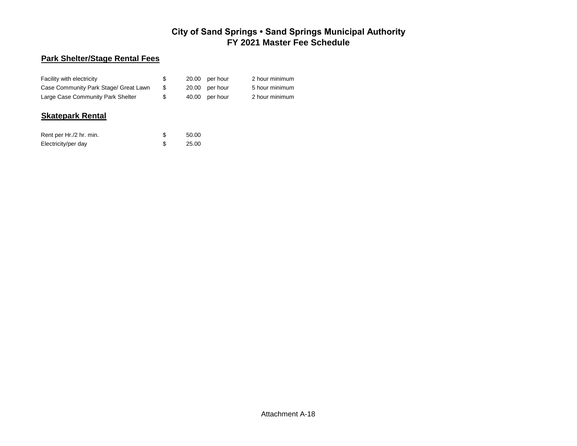## **Park Shelter/Stage Rental Fees**

| Facility with electricity             | \$. | 20.00 per hour | 2 hour minimum |
|---------------------------------------|-----|----------------|----------------|
| Case Community Park Stage/ Great Lawn |     | 20.00 per hour | 5 hour minimum |
| Large Case Community Park Shelter     | \$  | 40.00 per hour | 2 hour minimum |

#### **Skatepark Rental**

| Rent per Hr./2 hr. min. | 50.00 |
|-------------------------|-------|
| Electricity/per day     | 25.00 |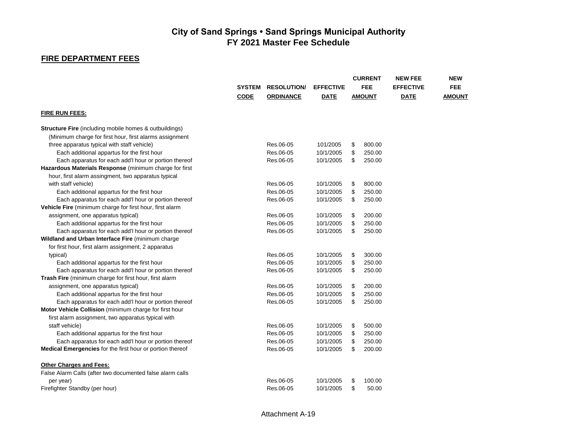## **FIRE DEPARTMENT FEES**

|                                                                  |               |                    |                  | <b>CURRENT</b><br><b>FEE</b> |               | <b>NEW FEE</b>   | <b>NEW</b>    |
|------------------------------------------------------------------|---------------|--------------------|------------------|------------------------------|---------------|------------------|---------------|
|                                                                  | <b>SYSTEM</b> | <b>RESOLUTION/</b> | <b>EFFECTIVE</b> |                              |               | <b>EFFECTIVE</b> | <b>FEE</b>    |
|                                                                  | <b>CODE</b>   | <b>ORDINANCE</b>   | <b>DATE</b>      |                              | <b>AMOUNT</b> | <b>DATE</b>      | <b>AMOUNT</b> |
| <b>FIRE RUN FEES:</b>                                            |               |                    |                  |                              |               |                  |               |
| <b>Structure Fire</b> (including mobile homes & outbuildings)    |               |                    |                  |                              |               |                  |               |
| (Minimum charge for first hour, first alarms assignment          |               |                    |                  |                              |               |                  |               |
| three apparatus typical with staff vehicle)                      |               | Res.06-05          | 101/2005         | \$                           | 800.00        |                  |               |
| Each additional appartus for the first hour                      |               | Res.06-05          | 10/1/2005        | \$                           | 250.00        |                  |               |
| Each apparatus for each add'I hour or portion thereof            |               | Res.06-05          | 10/1/2005        | \$                           | 250.00        |                  |               |
| Hazardous Materials Response (minimum charge for first           |               |                    |                  |                              |               |                  |               |
| hour, first alarm assingment, two apparatus typical              |               |                    |                  |                              |               |                  |               |
| with staff vehicle)                                              |               | Res.06-05          | 10/1/2005        | \$                           | 800.00        |                  |               |
| Each additional appartus for the first hour                      |               | Res.06-05          | 10/1/2005        | \$                           | 250.00        |                  |               |
| Each apparatus for each add'I hour or portion thereof            |               | Res.06-05          | 10/1/2005        | \$                           | 250.00        |                  |               |
| Vehicle Fire (minimum charge for first hour, first alarm         |               |                    |                  |                              |               |                  |               |
| assignment, one apparatus typical)                               |               | Res.06-05          | 10/1/2005        | \$                           | 200.00        |                  |               |
| Each additional appartus for the first hour                      |               | Res.06-05          | 10/1/2005        | \$                           | 250.00        |                  |               |
| Each apparatus for each add'l hour or portion thereof            |               | Res.06-05          | 10/1/2005        | \$                           | 250.00        |                  |               |
| Wildland and Urban Interface Fire (minimum charge                |               |                    |                  |                              |               |                  |               |
| for first hour, first alarm assignment, 2 apparatus              |               |                    |                  |                              |               |                  |               |
| typical)                                                         |               | Res.06-05          | 10/1/2005        | \$                           | 300.00        |                  |               |
| Each additional appartus for the first hour                      |               | Res.06-05          | 10/1/2005        | \$                           | 250.00        |                  |               |
| Each apparatus for each add'I hour or portion thereof            |               | Res.06-05          | 10/1/2005        | \$                           | 250.00        |                  |               |
| Trash Fire (minimum charge for first hour, first alarm           |               |                    |                  |                              |               |                  |               |
| assignment, one apparatus typical)                               |               | Res.06-05          | 10/1/2005        | \$                           | 200.00        |                  |               |
| Each additional appartus for the first hour                      |               | Res.06-05          | 10/1/2005        | \$                           | 250.00        |                  |               |
| Each apparatus for each add'I hour or portion thereof            |               | Res.06-05          | 10/1/2005        | \$                           | 250.00        |                  |               |
| Motor Vehicle Collision (minimum charge for first hour           |               |                    |                  |                              |               |                  |               |
| first alarm assignment, two apparatus typical with               |               |                    |                  |                              |               |                  |               |
| staff vehicle)                                                   |               | Res.06-05          | 10/1/2005        | \$                           | 500.00        |                  |               |
| Each additional appartus for the first hour                      |               | Res.06-05          | 10/1/2005        | \$                           | 250.00        |                  |               |
| Each apparatus for each add'I hour or portion thereof            |               | Res.06-05          | 10/1/2005        | \$                           | 250.00        |                  |               |
| <b>Medical Emergencies</b> for the first hour or portion thereof |               | Res.06-05          | 10/1/2005        | \$                           | 200.00        |                  |               |
| <b>Other Charges and Fees:</b>                                   |               |                    |                  |                              |               |                  |               |
| False Alarm Calls (after two documented false alarm calls        |               |                    |                  |                              |               |                  |               |
| per year)                                                        |               | Res.06-05          | 10/1/2005        | \$                           | 100.00        |                  |               |
| Firefighter Standby (per hour)                                   |               | Res.06-05          | 10/1/2005        | \$                           | 50.00         |                  |               |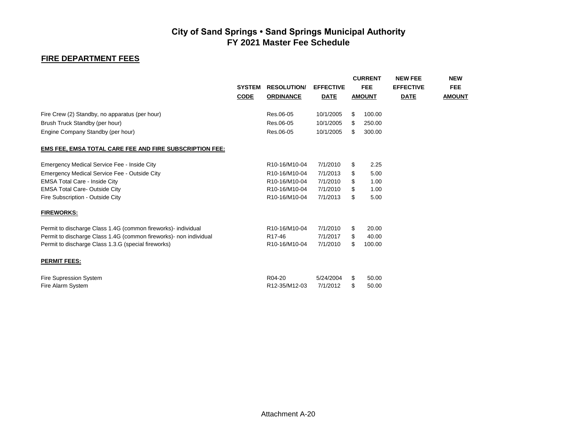## **FIRE DEPARTMENT FEES**

|                                                                   | <b>SYSTEM</b><br><b>CODE</b> | <b>RESOLUTION</b><br><b>ORDINANCE</b> | <b>EFFECTIVE</b><br><b>DATE</b> |     | <b>CURRENT</b><br><b>FEE</b><br><b>AMOUNT</b> | <b>NEW FEE</b><br><b>EFFECTIVE</b><br><b>DATE</b> | <b>NEW</b><br>FEE.<br><b>AMOUNT</b> |
|-------------------------------------------------------------------|------------------------------|---------------------------------------|---------------------------------|-----|-----------------------------------------------|---------------------------------------------------|-------------------------------------|
| Fire Crew (2) Standby, no apparatus (per hour)                    |                              | Res.06-05                             | 10/1/2005                       | \$  | 100.00                                        |                                                   |                                     |
| Brush Truck Standby (per hour)                                    |                              | Res.06-05                             | 10/1/2005                       | \$. | 250.00                                        |                                                   |                                     |
| Engine Company Standby (per hour)                                 |                              | Res.06-05                             | 10/1/2005                       | \$. | 300.00                                        |                                                   |                                     |
| <b>EMS FEE, EMSA TOTAL CARE FEE AND FIRE SUBSCRIPTION FEE:</b>    |                              |                                       |                                 |     |                                               |                                                   |                                     |
| Emergency Medical Service Fee - Inside City                       |                              | R10-16/M10-04                         | 7/1/2010                        | \$  | 2.25                                          |                                                   |                                     |
| Emergency Medical Service Fee - Outside City                      |                              | R10-16/M10-04                         | 7/1/2013                        | \$  | 5.00                                          |                                                   |                                     |
| <b>EMSA Total Care - Inside City</b>                              |                              | R10-16/M10-04                         | 7/1/2010                        | \$  | 1.00                                          |                                                   |                                     |
| <b>EMSA Total Care- Outside City</b>                              |                              | R10-16/M10-04                         | 7/1/2010                        | \$  | 1.00                                          |                                                   |                                     |
| Fire Subscription - Outside City                                  |                              | R10-16/M10-04                         | 7/1/2013                        | \$  | 5.00                                          |                                                   |                                     |
| <b>FIREWORKS:</b>                                                 |                              |                                       |                                 |     |                                               |                                                   |                                     |
| Permit to discharge Class 1.4G (common fireworks)- individual     |                              | R10-16/M10-04                         | 7/1/2010                        | \$  | 20.00                                         |                                                   |                                     |
| Permit to discharge Class 1.4G (common fireworks)- non individual |                              | R <sub>17-46</sub>                    | 7/1/2017                        | \$  | 40.00                                         |                                                   |                                     |
| Permit to discharge Class 1.3.G (special fireworks)               |                              | R10-16/M10-04                         | 7/1/2010                        | \$  | 100.00                                        |                                                   |                                     |
| <b>PERMIT FEES:</b>                                               |                              |                                       |                                 |     |                                               |                                                   |                                     |
| Fire Supression System                                            |                              | R04-20                                | 5/24/2004                       | \$  | 50.00                                         |                                                   |                                     |
| Fire Alarm System                                                 |                              | R12-35/M12-03                         | 7/1/2012                        | \$  | 50.00                                         |                                                   |                                     |
|                                                                   |                              |                                       |                                 |     |                                               |                                                   |                                     |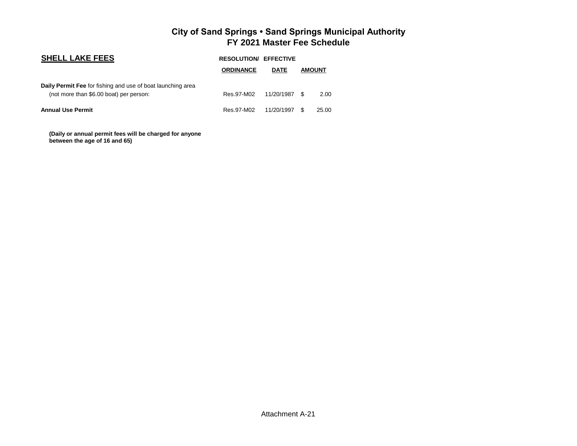| <b>SHELL LAKE FEES</b>                                                                                 | <b>RESOLUTION/ EFFECTIVE</b> |             |               |       |
|--------------------------------------------------------------------------------------------------------|------------------------------|-------------|---------------|-------|
|                                                                                                        | <b>ORDINANCE</b>             | <b>DATE</b> | <b>AMOUNT</b> |       |
| Daily Permit Fee for fishing and use of boat launching area<br>(not more than \$6.00 boat) per person: | Res.97-M02                   | 11/20/1987  | -96           | 2.00  |
| <b>Annual Use Permit</b>                                                                               | Res.97-M02                   | 11/20/1997  | <b>.S</b>     | 25.00 |

 **(Daily or annual permit fees will be charged for anyone between the age of 16 and 65)**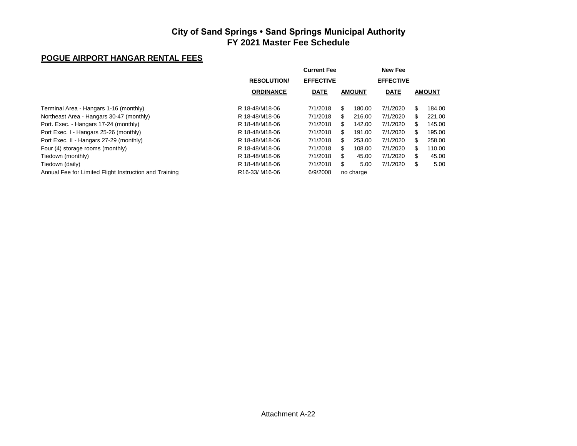### **POGUE AIRPORT HANGAR RENTAL FEES**

|                                                        |                                        | <b>Current Fee</b> |     | <b>New Fee</b> |                  |    |               |
|--------------------------------------------------------|----------------------------------------|--------------------|-----|----------------|------------------|----|---------------|
|                                                        | <b>RESOLUTION</b>                      | <b>EFFECTIVE</b>   |     |                | <b>EFFECTIVE</b> |    |               |
|                                                        | <b>ORDINANCE</b>                       | <b>DATE</b>        |     | <b>AMOUNT</b>  | <b>DATE</b>      |    | <b>AMOUNT</b> |
| Terminal Area - Hangars 1-16 (monthly)                 | R 18-48/M18-06                         | 7/1/2018           | S   | 180.00         | 7/1/2020         | S  | 184.00        |
| Northeast Area - Hangars 30-47 (monthly)               | R 18-48/M18-06                         | 7/1/2018           | \$. | 216.00         | 7/1/2020         | \$ | 221.00        |
| Port. Exec. - Hangars 17-24 (monthly)                  | R 18-48/M18-06                         | 7/1/2018           | S   | 142.00         | 7/1/2020         | S  | 145.00        |
| Port Exec. I - Hangars 25-26 (monthly)                 | R 18-48/M18-06                         | 7/1/2018           | S   | 191.00         | 7/1/2020         | S  | 195.00        |
| Port Exec. II - Hangars 27-29 (monthly)                | R 18-48/M18-06                         | 7/1/2018           | \$. | 253.00         | 7/1/2020         | S  | 258.00        |
| Four (4) storage rooms (monthly)                       | R 18-48/M18-06                         | 7/1/2018           | \$  | 108.00         | 7/1/2020         | S  | 110.00        |
| Tiedown (monthly)                                      | R 18-48/M18-06                         | 7/1/2018           | \$  | 45.00          | 7/1/2020         | \$ | 45.00         |
| Tiedown (daily)                                        | R 18-48/M18-06                         | 7/1/2018           | S   | 5.00           | 7/1/2020         | S  | 5.00          |
| Annual Fee for Limited Flight Instruction and Training | R <sub>16</sub> -33/M <sub>16-06</sub> | 6/9/2008           |     | no charge      |                  |    |               |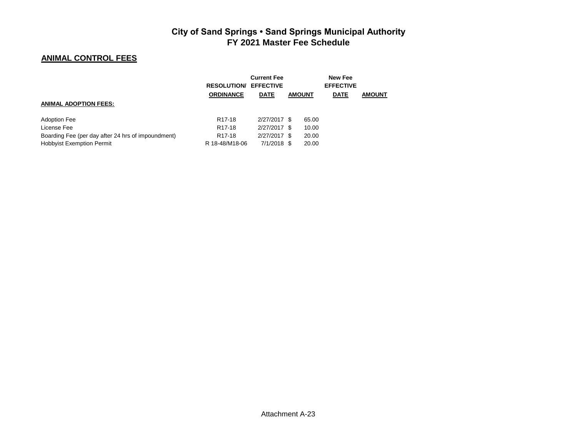## **ANIMAL CONTROL FEES**

|                                                    | <b>RESOLUTION/ EFFECTIVE</b> | <b>Current Fee</b> |               | <b>New Fee</b><br><b>EFFECTIVE</b> |               |
|----------------------------------------------------|------------------------------|--------------------|---------------|------------------------------------|---------------|
|                                                    | <b>ORDINANCE</b>             | <b>DATE</b>        | <b>AMOUNT</b> | <b>DATE</b>                        | <b>AMOUNT</b> |
| <b>ANIMAL ADOPTION FEES:</b>                       |                              |                    |               |                                    |               |
| <b>Adoption Fee</b>                                | R <sub>17</sub> -18          | 2/27/2017 \$       | 65.00         |                                    |               |
| License Fee                                        | R <sub>17</sub> -18          | 2/27/2017 \$       | 10.00         |                                    |               |
| Boarding Fee (per day after 24 hrs of impoundment) | R <sub>17</sub> -18          | 2/27/2017 \$       | 20.00         |                                    |               |
| <b>Hobbyist Exemption Permit</b>                   | R 18-48/M18-06               | 7/1/2018 \$        | 20.00         |                                    |               |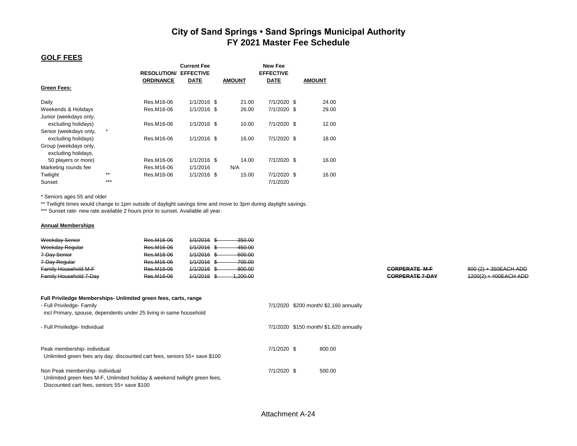#### **GOLF FEES**

|                                                           | <b>RESOLUTION</b><br><b>ORDINANCE</b> | <b>Current Fee</b><br><b>EFFECTIVE</b><br><b>DATE</b> |  | AMOUNT | New Fee<br><b>EFFECTIVE</b><br><b>DATE</b> |  | AMOUNT |
|-----------------------------------------------------------|---------------------------------------|-------------------------------------------------------|--|--------|--------------------------------------------|--|--------|
| Green Fees:                                               |                                       |                                                       |  |        |                                            |  |        |
| Daily                                                     | Res.M16-06                            | $1/1/2016$ \$                                         |  | 21.00  | 7/1/2020 \$                                |  | 24.00  |
| Weekends & Holidays<br>Junior (weekdays only,             | Res.M16-06                            | $1/1/2016$ \$                                         |  | 26.00  | 7/1/2020 \$                                |  | 29.00  |
| excluding holidays)<br>$^\star$<br>Senior (weekdays only, | Res.M16-06                            | $1/1/2016$ \$                                         |  | 10.00  | 7/1/2020 \$                                |  | 12.00  |
| excluding holidays)<br>Group (weekdays only,              | Res.M16-06                            | $1/1/2016$ \$                                         |  | 16.00  | 7/1/2020 \$                                |  | 18.00  |
| excluding holidays.<br>50 players or more)                | Res.M16-06                            | $1/1/2016$ \$                                         |  | 14.00  | 7/1/2020 \$                                |  | 16.00  |
| Marketing rounds fee                                      | Res.M16-06                            | 1/1/2016                                              |  | N/A    |                                            |  |        |
| $***$<br>Twilight<br>***<br>Sunset                        | Res.M16-06                            | 1/1/2016 \$                                           |  | 15.00  | 7/1/2020 \$<br>7/1/2020                    |  | 16.00  |

\* Seniors ages 55 and older

\*\* Twilight times would change to 1pm outside of daylight savings time and move to 3pm during daylight savings.

\*\*\* Sunset rate- new rate available 2 hours prior to sunset. Available all year.

#### **Annual Memberships**

| Weekday Senior         | Res.M16-06             | $1/1/2016$ \$ |     | -350.00  |
|------------------------|------------------------|---------------|-----|----------|
| Weekday Regular        | Res.M16-06             | 1/1/2016      |     | 450.00   |
| 7-Day Senior           | Res.M <sub>16-06</sub> | 1/1/2016      | ዴ   | 600.00   |
| 7-Day Regular          | Res.M <sub>16-06</sub> | 1/1/2016      | -96 | -700.00  |
| Family Household M-F   | Res.M <sub>16-06</sub> | 1/1/2016      | £.  | 800.00   |
| Family Household 7-Day | Res.M <sub>16-06</sub> | 1/1/2016      | S   | 4.200.00 |

Family Household M-F Res.M16-06 1/1/2016 \$ 800.00 **CORPERATE M-F** 800 (2) + 350EACH ADD **CORPERATE 7-DAY**  $4200(2) + 400EACH ADD$ 

| Full Priviledge Memberships- Unlimited green fees, carts, range<br>- Full Priviledge- Family<br>incl Primary, spouse, dependents under 25 living in same household |               | 7/1/2020 \$200 month/ \$2,160 annually |
|--------------------------------------------------------------------------------------------------------------------------------------------------------------------|---------------|----------------------------------------|
| - Full Priviledge- Individual                                                                                                                                      |               | 7/1/2020 \$150 month/ \$1,620 annually |
| Peak membership- individual<br>Unlimited green fees any day, discounted cart fees, seniors 55+ save \$100                                                          | 7/1/2020 \$   | 800.00                                 |
| Non Peak membership- individual<br>Unlimited green fees M-F, Unlimited holiday & weekend twilight green fees,<br>Discounted cart fees, seniors 55+ save \$100      | $7/1/2020$ \$ | 500.00                                 |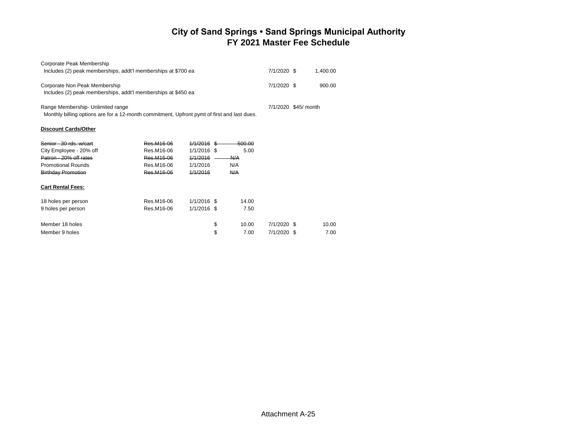| Corporate Peak Membership                                                                   |                        |               |    |         |             |                      |          |
|---------------------------------------------------------------------------------------------|------------------------|---------------|----|---------|-------------|----------------------|----------|
| Includes (2) peak memberships, addt'l memberships at \$700 ea                               |                        |               |    |         | 7/1/2020 \$ |                      | 1,400.00 |
| Corporate Non Peak Membership                                                               |                        |               |    |         | 7/1/2020 \$ |                      | 900.00   |
| Includes (2) peak memberships, addt'l memberships at \$450 ea                               |                        |               |    |         |             |                      |          |
|                                                                                             |                        |               |    |         |             |                      |          |
| Range Membership- Unlimited range                                                           |                        |               |    |         |             | 7/1/2020 \$45/ month |          |
| Monthly billing options are for a 12-month commitment, Upfront pymt of first and last dues. |                        |               |    |         |             |                      |          |
|                                                                                             |                        |               |    |         |             |                      |          |
| <b>Discount Cards/Other</b>                                                                 |                        |               |    |         |             |                      |          |
| Senior - 30 rds. w/cart                                                                     | Res.M16-06             | $1/1/2016$ \$ |    | -500.00 |             |                      |          |
| City Employee - 20% off                                                                     | Res.M16-06             | $1/1/2016$ \$ |    | 5.00    |             |                      |          |
| Patron - 20% off rates                                                                      | Res.M16-06             | 1/1/2016      |    | A       |             |                      |          |
| <b>Promotional Rounds</b>                                                                   | Res.M16-06             | 1/1/2016      |    | N/A     |             |                      |          |
|                                                                                             |                        |               |    |         |             |                      |          |
| <b>Birthday Promotion</b>                                                                   | Res.M <sub>16-06</sub> | 1/1/2016      |    | A/A     |             |                      |          |
| <b>Cart Rental Fees:</b>                                                                    |                        |               |    |         |             |                      |          |
|                                                                                             |                        |               |    |         |             |                      |          |
| 18 holes per person                                                                         | Res.M16-06             | $1/1/2016$ \$ |    | 14.00   |             |                      |          |
| 9 holes per person                                                                          | Res.M16-06             | $1/1/2016$ \$ |    | 7.50    |             |                      |          |
|                                                                                             |                        |               |    |         |             |                      |          |
| Member 18 holes                                                                             |                        |               | \$ | 10.00   | 7/1/2020 \$ |                      | 10.00    |
| Member 9 holes                                                                              |                        |               | \$ | 7.00    | 7/1/2020 \$ |                      | 7.00     |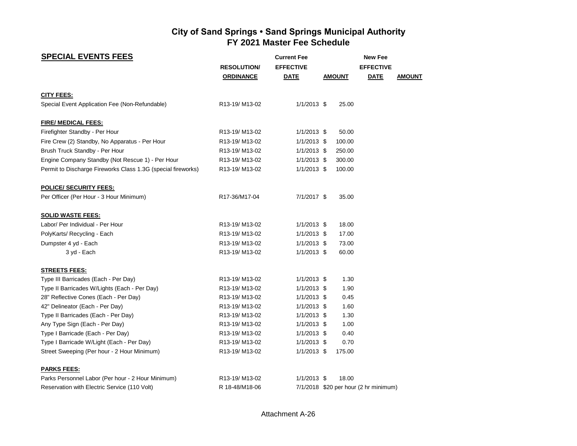| <b>SPECIAL EVENTS FEES</b>                                   |                                        | <b>Current Fee</b> |               |                                       | <b>New Fee</b> |  |  |  |  |
|--------------------------------------------------------------|----------------------------------------|--------------------|---------------|---------------------------------------|----------------|--|--|--|--|
|                                                              | <b>RESOLUTION/</b>                     | <b>EFFECTIVE</b>   |               | <b>EFFECTIVE</b>                      |                |  |  |  |  |
|                                                              | <b>ORDINANCE</b>                       | <b>DATE</b>        | <b>AMOUNT</b> | <b>DATE</b>                           | <b>AMOUNT</b>  |  |  |  |  |
| <u>CITY FEES:</u>                                            |                                        |                    |               |                                       |                |  |  |  |  |
| Special Event Application Fee (Non-Refundable)               | R13-19/M13-02                          | $1/1/2013$ \$      | 25.00         |                                       |                |  |  |  |  |
| <b>FIRE/ MEDICAL FEES:</b>                                   |                                        |                    |               |                                       |                |  |  |  |  |
| Firefighter Standby - Per Hour                               | R13-19/M13-02                          | $1/1/2013$ \$      | 50.00         |                                       |                |  |  |  |  |
| Fire Crew (2) Standby, No Apparatus - Per Hour               | R13-19/M13-02                          | $1/1/2013$ \$      | 100.00        |                                       |                |  |  |  |  |
| Brush Truck Standby - Per Hour                               | R <sub>13</sub> -19/M <sub>13-02</sub> | $1/1/2013$ \$      | 250.00        |                                       |                |  |  |  |  |
| Engine Company Standby (Not Rescue 1) - Per Hour             | R13-19/M13-02                          | $1/1/2013$ \$      | 300.00        |                                       |                |  |  |  |  |
| Permit to Discharge Fireworks Class 1.3G (special fireworks) | R13-19/M13-02                          | $1/1/2013$ \$      | 100.00        |                                       |                |  |  |  |  |
| <b>POLICE/ SECURITY FEES:</b>                                |                                        |                    |               |                                       |                |  |  |  |  |
| Per Officer (Per Hour - 3 Hour Minimum)                      | R17-36/M17-04                          | 7/1/2017 \$        | 35.00         |                                       |                |  |  |  |  |
| <b>SOLID WASTE FEES:</b>                                     |                                        |                    |               |                                       |                |  |  |  |  |
| Labor/ Per Individual - Per Hour                             | R13-19/M13-02                          | $1/1/2013$ \$      | 18.00         |                                       |                |  |  |  |  |
| PolyKarts/ Recycling - Each                                  | R13-19/M13-02                          | $1/1/2013$ \$      | 17.00         |                                       |                |  |  |  |  |
| Dumpster 4 yd - Each                                         | R13-19/M13-02                          | $1/1/2013$ \$      | 73.00         |                                       |                |  |  |  |  |
| 3 yd - Each                                                  | R13-19/M13-02                          | $1/1/2013$ \$      | 60.00         |                                       |                |  |  |  |  |
| <b>STREETS FEES:</b>                                         |                                        |                    |               |                                       |                |  |  |  |  |
| Type III Barricades (Each - Per Day)                         | R13-19/M13-02                          | $1/1/2013$ \$      | 1.30          |                                       |                |  |  |  |  |
| Type II Barricades W/Lights (Each - Per Day)                 | R13-19/M13-02                          | $1/1/2013$ \$      | 1.90          |                                       |                |  |  |  |  |
| 28" Reflective Cones (Each - Per Day)                        | R13-19/M13-02                          | $1/1/2013$ \$      | 0.45          |                                       |                |  |  |  |  |
| 42" Delineator (Each - Per Day)                              | R13-19/M13-02                          | 1/1/2013 \$        | 1.60          |                                       |                |  |  |  |  |
| Type II Barricades (Each - Per Day)                          | R13-19/M13-02                          | 1/1/2013 \$        | 1.30          |                                       |                |  |  |  |  |
| Any Type Sign (Each - Per Day)                               | R13-19/M13-02                          | $1/1/2013$ \$      | 1.00          |                                       |                |  |  |  |  |
| Type I Barricade (Each - Per Day)                            | R13-19/M13-02                          | $1/1/2013$ \$      | 0.40          |                                       |                |  |  |  |  |
| Type I Barricade W/Light (Each - Per Day)                    | R13-19/M13-02                          | $1/1/2013$ \$      | 0.70          |                                       |                |  |  |  |  |
| Street Sweeping (Per hour - 2 Hour Minimum)                  | R13-19/M13-02                          | $1/1/2013$ \$      | 175.00        |                                       |                |  |  |  |  |
| <b>PARKS FEES:</b>                                           |                                        |                    |               |                                       |                |  |  |  |  |
| Parks Personnel Labor (Per hour - 2 Hour Minimum)            | R <sub>13</sub> -19/M <sub>13-02</sub> | $1/1/2013$ \$      | 18.00         |                                       |                |  |  |  |  |
| Reservation with Electric Service (110 Volt)                 | R 18-48/M18-06                         |                    |               | 7/1/2018 \$20 per hour (2 hr minimum) |                |  |  |  |  |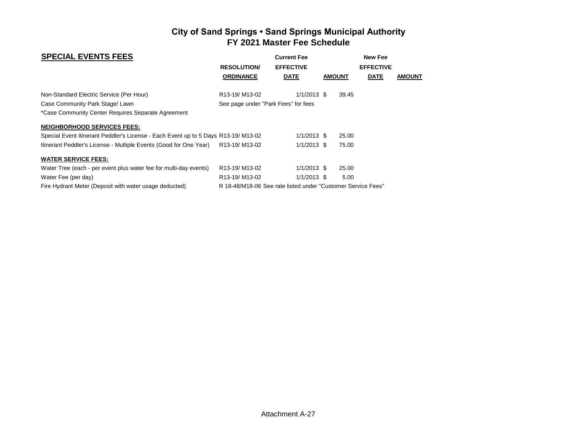| <b>SPECIAL EVENTS FEES</b>                                                        |                                        | <b>Current Fee</b>                                           |               | <b>New Fee</b>   |               |
|-----------------------------------------------------------------------------------|----------------------------------------|--------------------------------------------------------------|---------------|------------------|---------------|
|                                                                                   | <b>RESOLUTION</b>                      | <b>EFFECTIVE</b>                                             |               | <b>EFFECTIVE</b> |               |
|                                                                                   | <b>ORDINANCE</b>                       | <b>DATE</b>                                                  | <b>AMOUNT</b> | <b>DATE</b>      | <b>AMOUNT</b> |
| Non-Standard Electric Service (Per Hour)                                          | R <sub>13</sub> -19/M <sub>13-02</sub> | $1/1/2013$ \$                                                | 39.45         |                  |               |
| Case Community Park Stage/ Lawn                                                   | See page under "Park Fees" for fees    |                                                              |               |                  |               |
| *Case Community Center Requires Separate Agreement                                |                                        |                                                              |               |                  |               |
| <b>NEIGHBORHOOD SERVICES FEES:</b>                                                |                                        |                                                              |               |                  |               |
| Special Event Itinerant Peddler's License - Each Event up to 5 Days R13-19/M13-02 |                                        | $1/1/2013$ \$                                                | 25.00         |                  |               |
| Itinerant Peddler's License - Multiple Events (Good for One Year)                 | R13-19/M13-02                          | $1/1/2013$ \$                                                | 75.00         |                  |               |
| <b>WATER SERVICE FEES:</b>                                                        |                                        |                                                              |               |                  |               |
| Water Tree (each - per event plus water fee for multi-day events)                 | R <sub>13</sub> -19/M <sub>13-02</sub> | $1/1/2013$ \$                                                | 25.00         |                  |               |
| Water Fee (per day)                                                               | R13-19/M13-02                          | $1/1/2013$ \$                                                | 5.00          |                  |               |
| Fire Hydrant Meter (Deposit with water usage deducted)                            |                                        | R 18-48/M18-06 See rate listed under "Customer Service Fees" |               |                  |               |